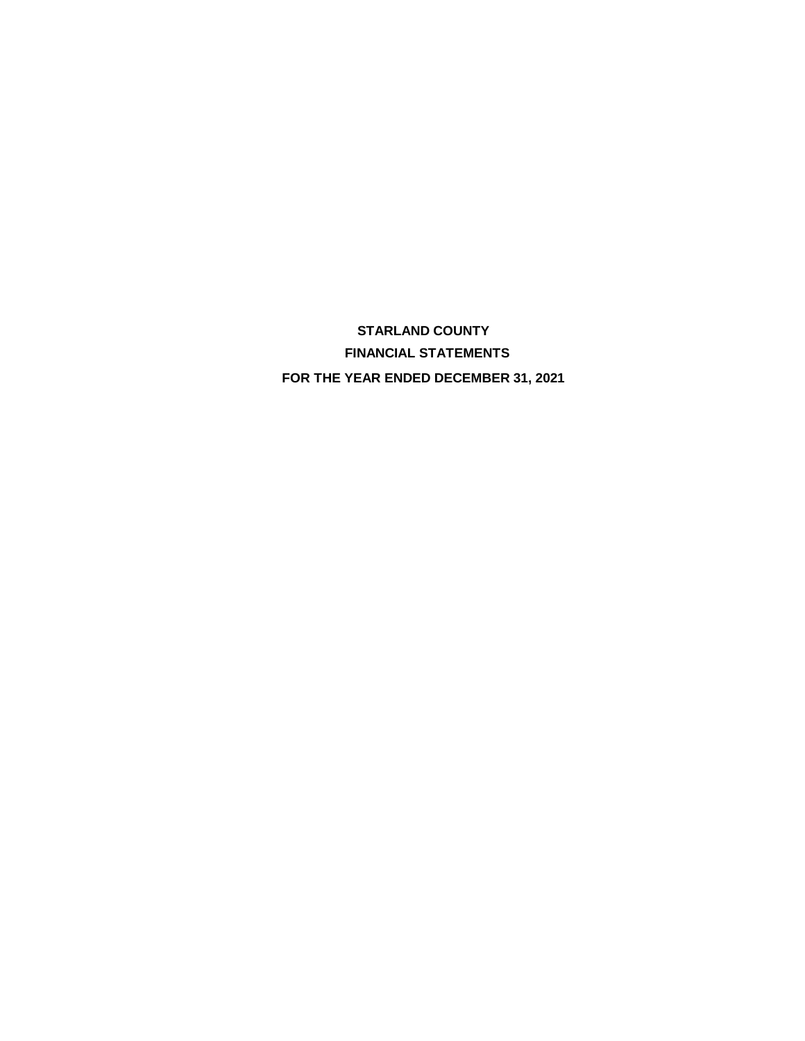**STARLAND COUNTY FINANCIAL STATEMENTS FOR THE YEAR ENDED DECEMBER 31, 2021**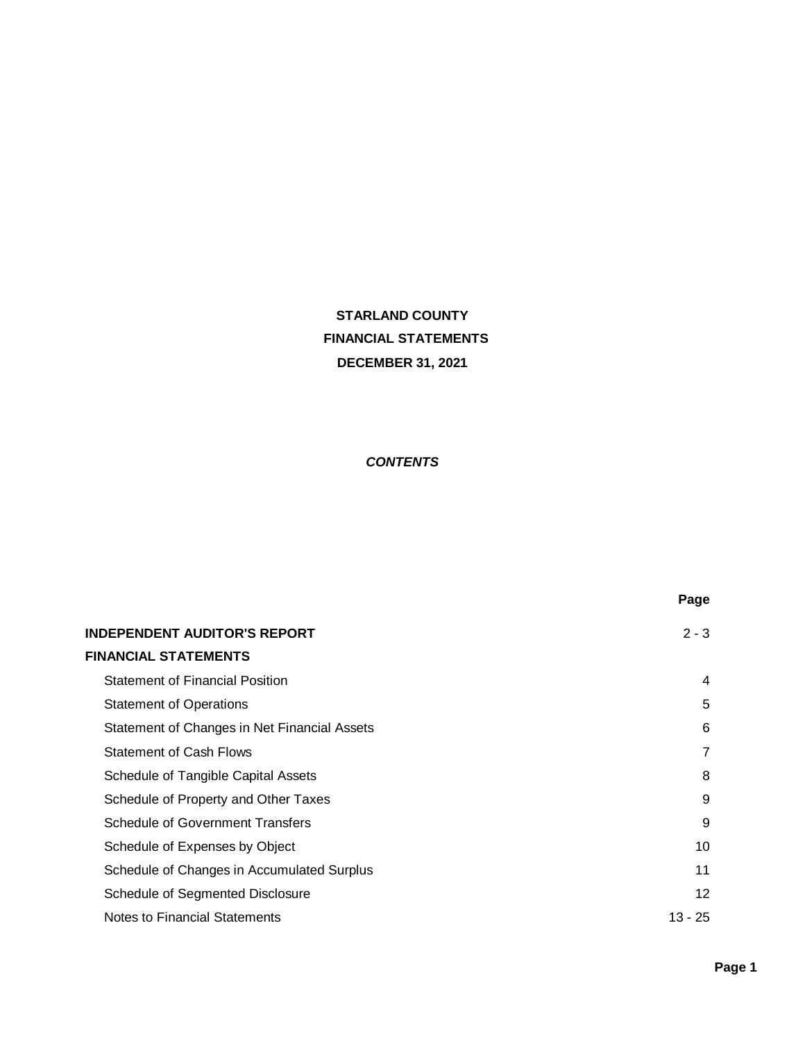# **STARLAND COUNTY FINANCIAL STATEMENTS DECEMBER 31, 2021**

# *CONTENTS*

|                                              | Page      |
|----------------------------------------------|-----------|
| <b>INDEPENDENT AUDITOR'S REPORT</b>          | $2 - 3$   |
| <b>FINANCIAL STATEMENTS</b>                  |           |
| <b>Statement of Financial Position</b>       | 4         |
| <b>Statement of Operations</b>               | 5         |
| Statement of Changes in Net Financial Assets | 6         |
| <b>Statement of Cash Flows</b>               | 7         |
| Schedule of Tangible Capital Assets          | 8         |
| Schedule of Property and Other Taxes         | 9         |
| <b>Schedule of Government Transfers</b>      | 9         |
| Schedule of Expenses by Object               | 10        |
| Schedule of Changes in Accumulated Surplus   | 11        |
| Schedule of Segmented Disclosure             | 12        |
| Notes to Financial Statements                | $13 - 25$ |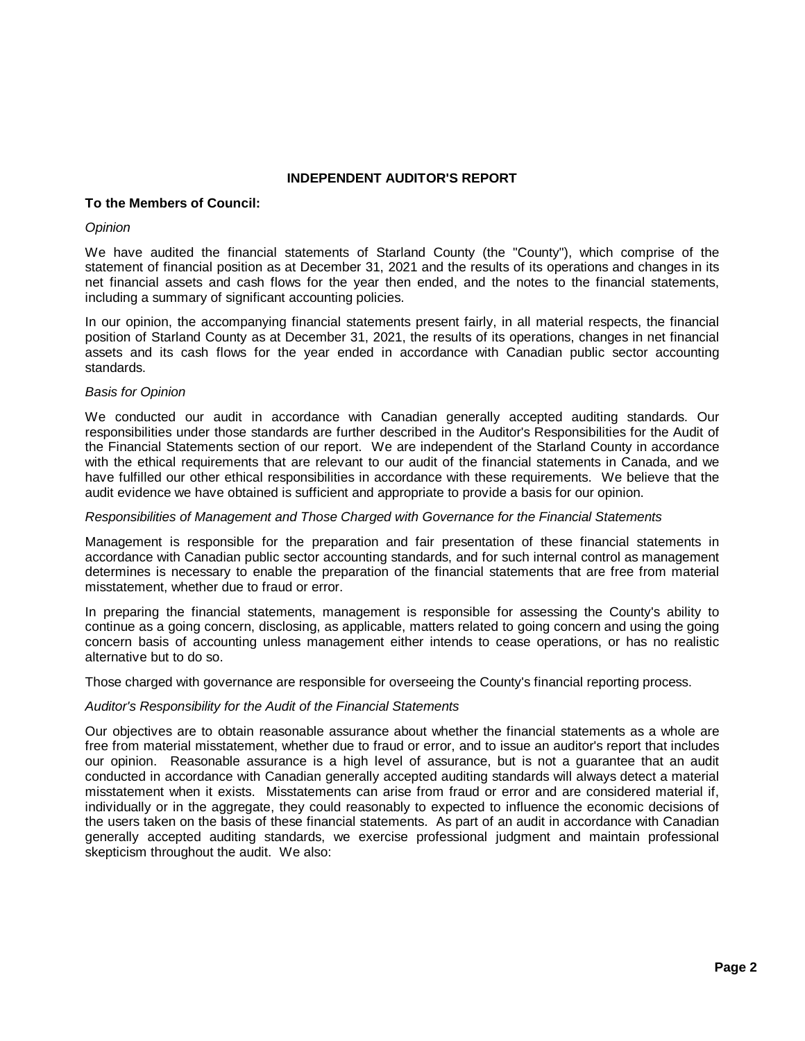# **INDEPENDENT AUDITOR'S REPORT**

# **To the Members of Council:**

#### *Opinion*

We have audited the financial statements of Starland County (the "County"), which comprise of the statement of financial position as at December 31, 2021 and the results of its operations and changes in its net financial assets and cash flows for the year then ended, and the notes to the financial statements, including a summary of significant accounting policies.

In our opinion, the accompanying financial statements present fairly, in all material respects, the financial position of Starland County as at December 31, 2021, the results of its operations, changes in net financial assets and its cash flows for the year ended in accordance with Canadian public sector accounting standards.

#### *Basis for Opinion*

We conducted our audit in accordance with Canadian generally accepted auditing standards. Our responsibilities under those standards are further described in the Auditor's Responsibilities for the Audit of the Financial Statements section of our report. We are independent of the Starland County in accordance with the ethical requirements that are relevant to our audit of the financial statements in Canada, and we have fulfilled our other ethical responsibilities in accordance with these requirements. We believe that the audit evidence we have obtained is sufficient and appropriate to provide a basis for our opinion.

#### *Responsibilities of Management and Those Charged with Governance for the Financial Statements*

Management is responsible for the preparation and fair presentation of these financial statements in accordance with Canadian public sector accounting standards, and for such internal control as management determines is necessary to enable the preparation of the financial statements that are free from material misstatement, whether due to fraud or error.

In preparing the financial statements, management is responsible for assessing the County's ability to continue as a going concern, disclosing, as applicable, matters related to going concern and using the going concern basis of accounting unless management either intends to cease operations, or has no realistic alternative but to do so.

Those charged with governance are responsible for overseeing the County's financial reporting process.

## *Auditor's Responsibility for the Audit of the Financial Statements*

Our objectives are to obtain reasonable assurance about whether the financial statements as a whole are free from material misstatement, whether due to fraud or error, and to issue an auditor's report that includes our opinion. Reasonable assurance is a high level of assurance, but is not a guarantee that an audit conducted in accordance with Canadian generally accepted auditing standards will always detect a material misstatement when it exists. Misstatements can arise from fraud or error and are considered material if, individually or in the aggregate, they could reasonably to expected to influence the economic decisions of the users taken on the basis of these financial statements. As part of an audit in accordance with Canadian generally accepted auditing standards, we exercise professional judgment and maintain professional skepticism throughout the audit. We also: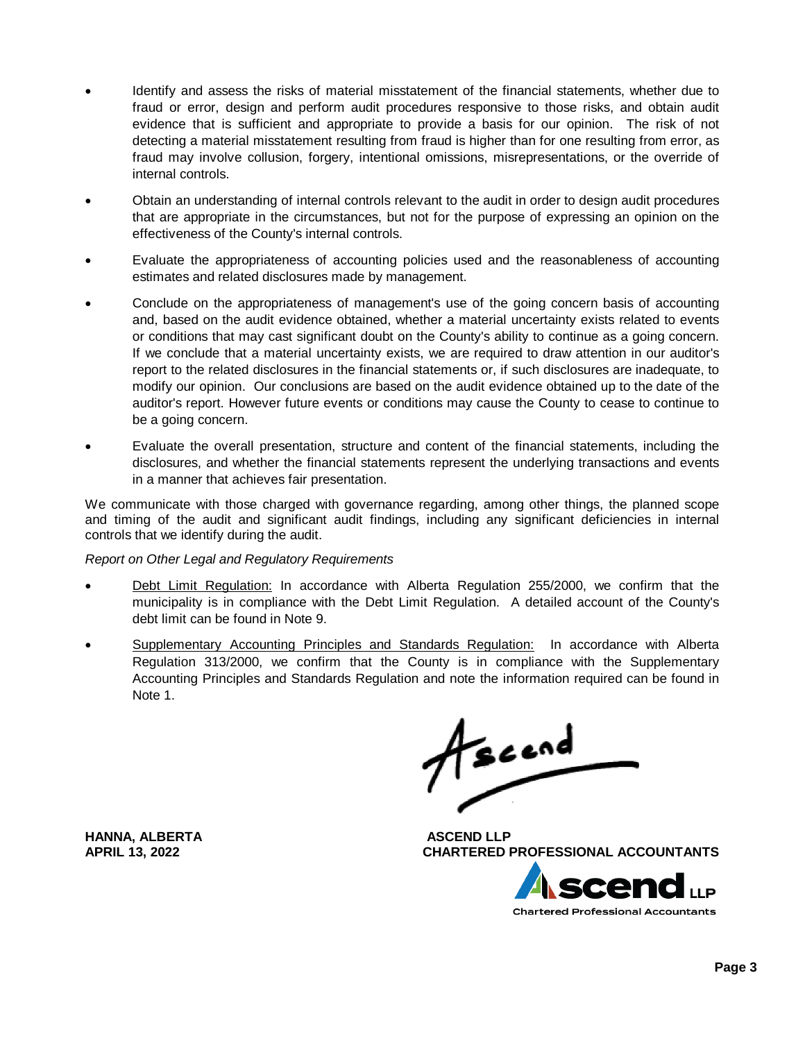- Identify and assess the risks of material misstatement of the financial statements, whether due to fraud or error, design and perform audit procedures responsive to those risks, and obtain audit evidence that is sufficient and appropriate to provide a basis for our opinion. The risk of not detecting a material misstatement resulting from fraud is higher than for one resulting from error, as fraud may involve collusion, forgery, intentional omissions, misrepresentations, or the override of internal controls.
- · Obtain an understanding of internal controls relevant to the audit in order to design audit procedures that are appropriate in the circumstances, but not for the purpose of expressing an opinion on the effectiveness of the County's internal controls.
- · Evaluate the appropriateness of accounting policies used and the reasonableness of accounting estimates and related disclosures made by management.
- Conclude on the appropriateness of management's use of the going concern basis of accounting and, based on the audit evidence obtained, whether a material uncertainty exists related to events or conditions that may cast significant doubt on the County's ability to continue as a going concern. If we conclude that a material uncertainty exists, we are required to draw attention in our auditor's report to the related disclosures in the financial statements or, if such disclosures are inadequate, to modify our opinion. Our conclusions are based on the audit evidence obtained up to the date of the auditor's report. However future events or conditions may cause the County to cease to continue to be a going concern.
- Evaluate the overall presentation, structure and content of the financial statements, including the disclosures, and whether the financial statements represent the underlying transactions and events in a manner that achieves fair presentation.

We communicate with those charged with governance regarding, among other things, the planned scope and timing of the audit and significant audit findings, including any significant deficiencies in internal controls that we identify during the audit.

## *Report on Other Legal and Regulatory Requirements*

- Debt Limit Regulation: In accordance with Alberta Regulation 255/2000, we confirm that the municipality is in compliance with the Debt Limit Regulation. A detailed account of the County's debt limit can be found in Note 9.
- · Supplementary Accounting Principles and Standards Regulation: In accordance with Alberta Regulation 313/2000, we confirm that the County is in compliance with the Supplementary Accounting Principles and Standards Regulation and note the information required can be found in Note 1.

fscend

**APRIL 13, 2022 CHARTERED PROFESSIONAL ACCOUNTANTS**



**HANNA, ALBERTA ASCEND LLP**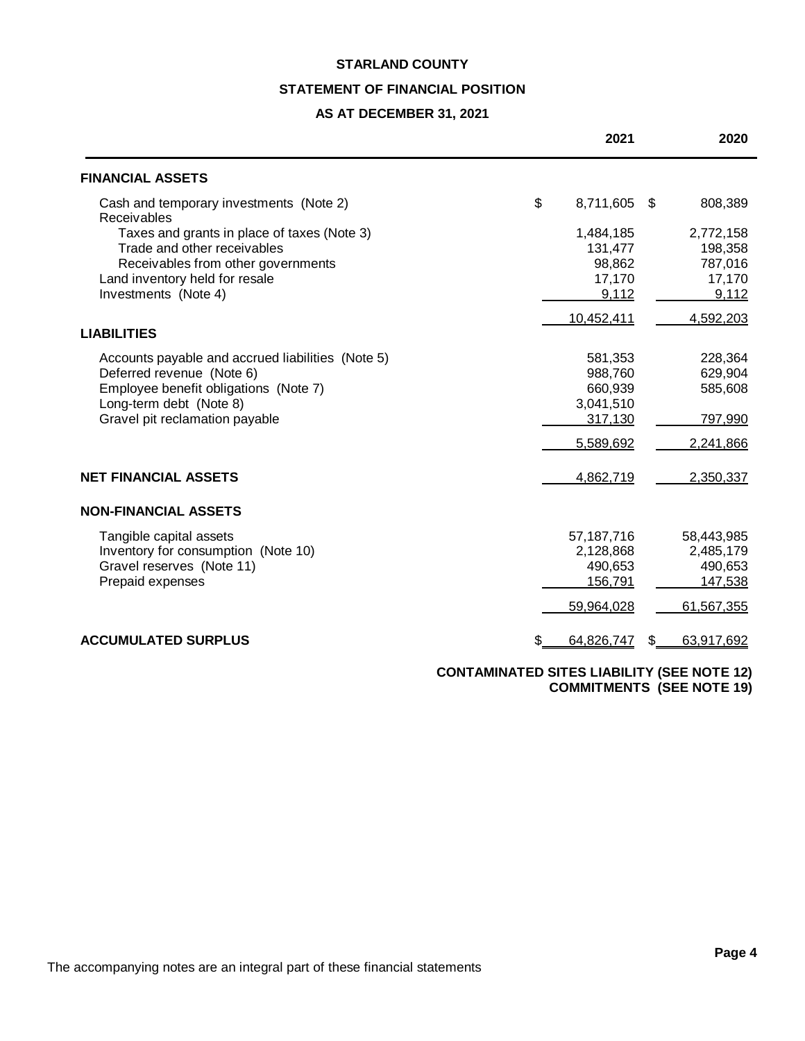# **STATEMENT OF FINANCIAL POSITION**

# **AS AT DECEMBER 31, 2021**

|                                                        | 2021            |     | 2020       |
|--------------------------------------------------------|-----------------|-----|------------|
| <b>FINANCIAL ASSETS</b>                                |                 |     |            |
| Cash and temporary investments (Note 2)<br>Receivables | \$<br>8,711,605 | \$. | 808,389    |
| Taxes and grants in place of taxes (Note 3)            | 1,484,185       |     | 2,772,158  |
| Trade and other receivables                            | 131,477         |     | 198,358    |
| Receivables from other governments                     | 98,862          |     | 787,016    |
| Land inventory held for resale                         | 17,170          |     | 17,170     |
| Investments (Note 4)                                   | 9,112           |     | 9,112      |
|                                                        | 10,452,411      |     | 4,592,203  |
| <b>LIABILITIES</b>                                     |                 |     |            |
| Accounts payable and accrued liabilities (Note 5)      | 581,353         |     | 228,364    |
| Deferred revenue (Note 6)                              | 988,760         |     | 629,904    |
| Employee benefit obligations (Note 7)                  | 660,939         |     | 585,608    |
| Long-term debt (Note 8)                                | 3,041,510       |     |            |
| Gravel pit reclamation payable                         | 317,130         |     | 797,990    |
|                                                        | 5,589,692       |     | 2,241,866  |
| <b>NET FINANCIAL ASSETS</b>                            | 4,862,719       |     | 2,350,337  |
| <b>NON-FINANCIAL ASSETS</b>                            |                 |     |            |
| Tangible capital assets                                | 57,187,716      |     | 58,443,985 |
| Inventory for consumption (Note 10)                    | 2,128,868       |     | 2,485,179  |
| Gravel reserves (Note 11)                              | 490,653         |     | 490,653    |
| Prepaid expenses                                       | 156,791         |     | 147,538    |
|                                                        | 59,964,028      |     | 61,567,355 |
| <b>ACCUMULATED SURPLUS</b>                             | 64,826,747      | \$. | 63,917,692 |
|                                                        |                 |     |            |

**CONTAMINATED SITES LIABILITY (SEE NOTE 12) COMMITMENTS (SEE NOTE 19)**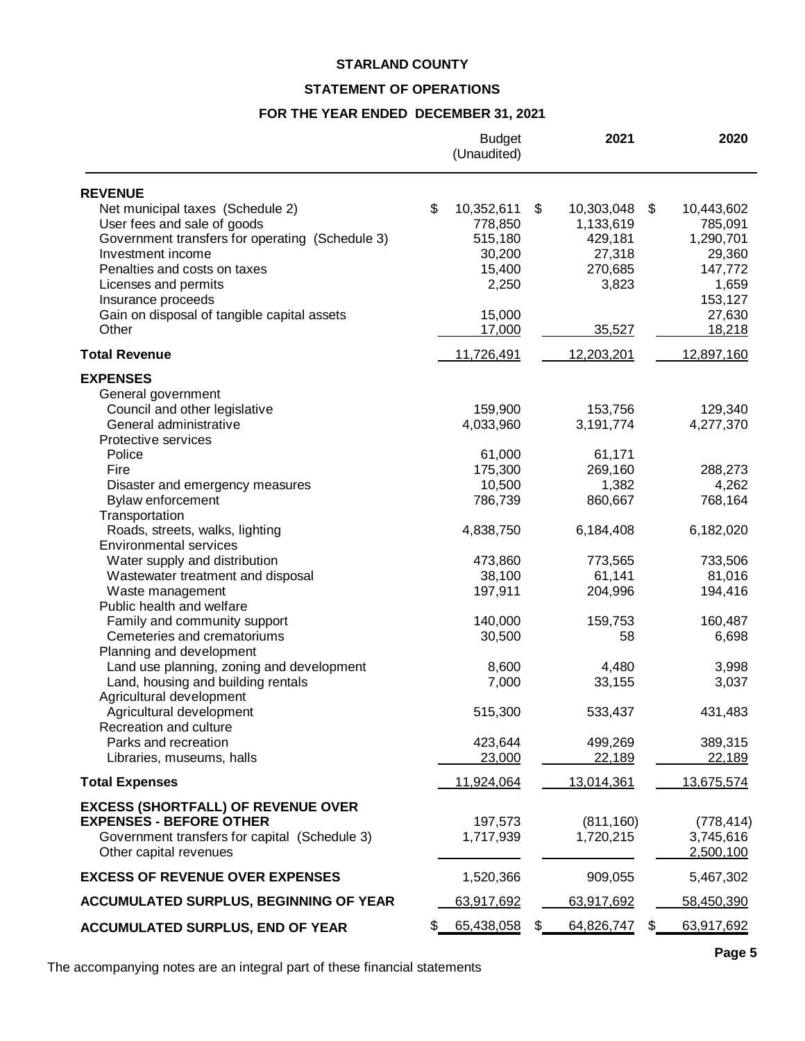# **STATEMENT OF OPERATIONS**

# **FOR THE YEAR ENDED DECEMBER 31, 2021**

|                                                 | <b>Budget</b><br>(Unaudited) | 2021             | 2020              |
|-------------------------------------------------|------------------------------|------------------|-------------------|
| <b>REVENUE</b>                                  |                              |                  |                   |
| Net municipal taxes (Schedule 2)                | \$<br>10,352,611             | \$<br>10,303,048 | \$<br>10,443,602  |
| User fees and sale of goods                     | 778,850                      | 1,133,619        | 785,091           |
| Government transfers for operating (Schedule 3) | 515,180                      | 429,181          | 1,290,701         |
| Investment income                               | 30,200                       | 27,318           | 29,360            |
| Penalties and costs on taxes                    | 15,400                       | 270,685          | 147,772           |
| Licenses and permits                            | 2,250                        | 3,823            | 1,659             |
| Insurance proceeds                              |                              |                  | 153,127           |
| Gain on disposal of tangible capital assets     | 15,000                       |                  | 27,630            |
| Other                                           | 17,000                       | 35,527           | 18,218            |
| <b>Total Revenue</b>                            | 11,726,491                   | 12,203,201       | 12,897,160        |
| <b>EXPENSES</b>                                 |                              |                  |                   |
| General government                              |                              |                  |                   |
| Council and other legislative                   | 159,900                      | 153,756          | 129,340           |
| General administrative                          | 4,033,960                    | 3,191,774        | 4,277,370         |
| Protective services                             |                              |                  |                   |
| Police                                          | 61,000                       | 61,171           |                   |
| Fire                                            | 175,300                      | 269,160          | 288,273           |
| Disaster and emergency measures                 | 10,500                       | 1,382            | 4,262<br>768,164  |
| Bylaw enforcement<br>Transportation             | 786,739                      | 860,667          |                   |
| Roads, streets, walks, lighting                 | 4,838,750                    | 6,184,408        | 6,182,020         |
| <b>Environmental services</b>                   |                              |                  |                   |
| Water supply and distribution                   | 473,860                      | 773,565          | 733,506           |
| Wastewater treatment and disposal               | 38,100                       | 61,141           | 81,016            |
| Waste management                                | 197,911                      | 204,996          | 194,416           |
| Public health and welfare                       |                              |                  |                   |
| Family and community support                    | 140,000                      | 159,753          | 160,487           |
| Cemeteries and crematoriums                     | 30,500                       | 58               | 6,698             |
| Planning and development                        |                              |                  |                   |
| Land use planning, zoning and development       | 8,600                        | 4,480            | 3,998             |
| Land, housing and building rentals              | 7,000                        | 33,155           | 3,037             |
| Agricultural development                        |                              |                  |                   |
| Agricultural development                        | 515,300                      | 533,437          | 431,483           |
| Recreation and culture                          |                              |                  |                   |
| Parks and recreation                            | 423,644                      | 499,269          | 389,315           |
| Libraries, museums, halls                       | 23,000                       | 22,189           | 22,189            |
| <b>Total Expenses</b>                           | 11,924,064                   | 13,014,361       | 13,675,574        |
| <b>EXCESS (SHORTFALL) OF REVENUE OVER</b>       |                              |                  |                   |
| <b>EXPENSES - BEFORE OTHER</b>                  | 197,573                      | (811, 160)       | (778, 414)        |
| Government transfers for capital (Schedule 3)   | 1,717,939                    | 1,720,215        | 3,745,616         |
| Other capital revenues                          |                              |                  | 2,500,100         |
| <b>EXCESS OF REVENUE OVER EXPENSES</b>          | 1,520,366                    | 909,055          | 5,467,302         |
| <b>ACCUMULATED SURPLUS, BEGINNING OF YEAR</b>   | 63,917,692                   | 63,917,692       | <u>58,450,390</u> |
| <b>ACCUMULATED SURPLUS, END OF YEAR</b>         | 65,438,058                   | 64,826,747       | 63,917,692        |

The accompanying notes are an integral part of these financial statements

**Page 5**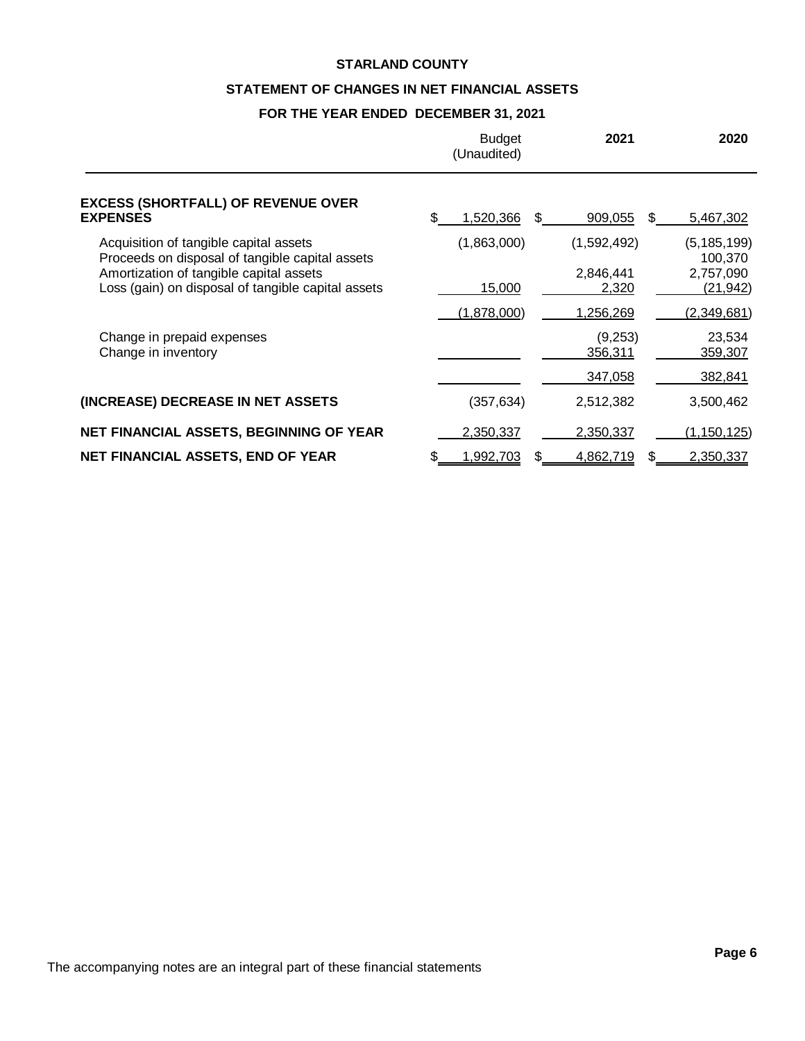# **STATEMENT OF CHANGES IN NET FINANCIAL ASSETS**

# **FOR THE YEAR ENDED DECEMBER 31, 2021**

|                                                                                               | <b>Budget</b><br>(Unaudited) | 2021               | 2020                     |
|-----------------------------------------------------------------------------------------------|------------------------------|--------------------|--------------------------|
| <b>EXCESS (SHORTFALL) OF REVENUE OVER</b><br><b>EXPENSES</b>                                  | 1,520,366                    | 909,055<br>S.      | 5,467,302                |
| Acquisition of tangible capital assets<br>Proceeds on disposal of tangible capital assets     | (1,863,000)                  | (1,592,492)        | (5, 185, 199)<br>100,370 |
| Amortization of tangible capital assets<br>Loss (gain) on disposal of tangible capital assets | 15,000                       | 2,846,441<br>2,320 | 2,757,090<br>(21, 942)   |
|                                                                                               | (1,878,000)                  | 1,256,269          | (2,349,681)              |
| Change in prepaid expenses<br>Change in inventory                                             |                              | (9,253)<br>356,311 | 23,534<br>359,307        |
|                                                                                               |                              | 347,058            | 382,841                  |
| (INCREASE) DECREASE IN NET ASSETS                                                             | (357, 634)                   | 2,512,382          | 3,500,462                |
| NET FINANCIAL ASSETS, BEGINNING OF YEAR                                                       | 2,350,337                    | 2,350,337          | (1, 150, 125)            |
| <b>NET FINANCIAL ASSETS, END OF YEAR</b>                                                      | 1,992,703<br>S               | 4,862,719<br>S     | 2,350,337                |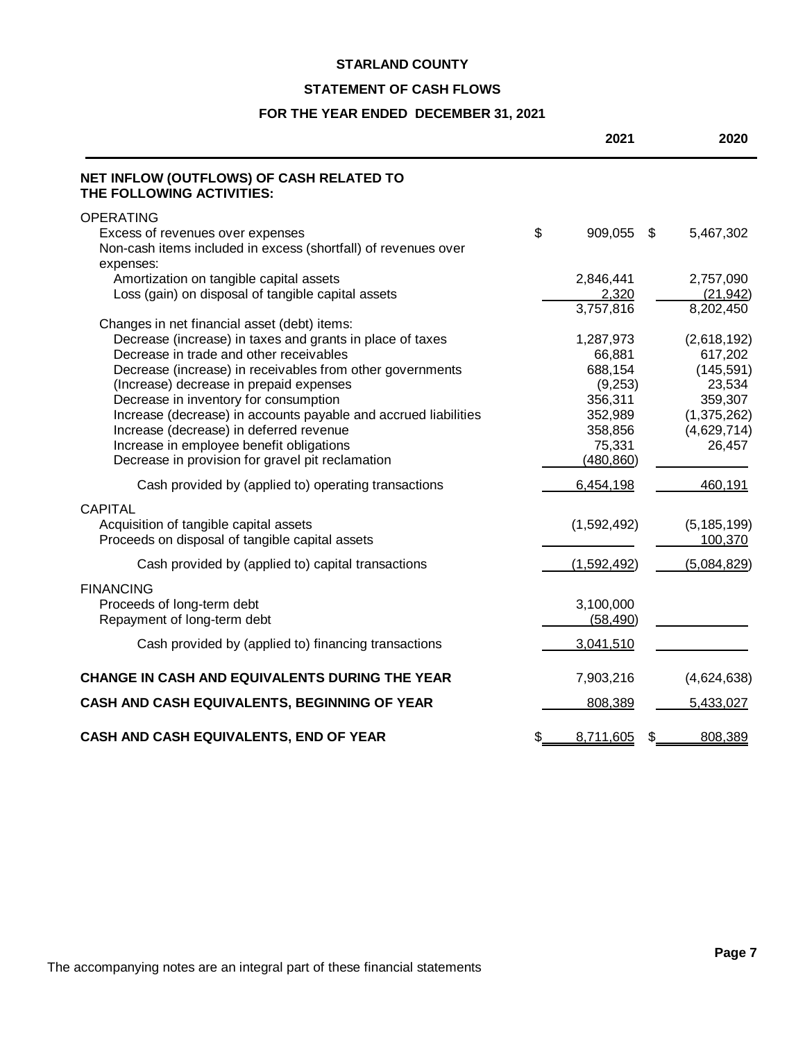# **STATEMENT OF CASH FLOWS**

# **FOR THE YEAR ENDED DECEMBER 31, 2021**

|                                                                                                                                                                                                                                                                                                                                                                                                                                                                                                                     | 2021                                                                                               | 2020                                                                                              |
|---------------------------------------------------------------------------------------------------------------------------------------------------------------------------------------------------------------------------------------------------------------------------------------------------------------------------------------------------------------------------------------------------------------------------------------------------------------------------------------------------------------------|----------------------------------------------------------------------------------------------------|---------------------------------------------------------------------------------------------------|
| NET INFLOW (OUTFLOWS) OF CASH RELATED TO<br>THE FOLLOWING ACTIVITIES:                                                                                                                                                                                                                                                                                                                                                                                                                                               |                                                                                                    |                                                                                                   |
| <b>OPERATING</b><br>Excess of revenues over expenses<br>Non-cash items included in excess (shortfall) of revenues over                                                                                                                                                                                                                                                                                                                                                                                              | \$<br>909,055<br>\$                                                                                | 5,467,302                                                                                         |
| expenses:<br>Amortization on tangible capital assets<br>Loss (gain) on disposal of tangible capital assets                                                                                                                                                                                                                                                                                                                                                                                                          | 2,846,441<br>2,320<br>3,757,816                                                                    | 2,757,090<br>(21, 942)<br>8,202,450                                                               |
| Changes in net financial asset (debt) items:<br>Decrease (increase) in taxes and grants in place of taxes<br>Decrease in trade and other receivables<br>Decrease (increase) in receivables from other governments<br>(Increase) decrease in prepaid expenses<br>Decrease in inventory for consumption<br>Increase (decrease) in accounts payable and accrued liabilities<br>Increase (decrease) in deferred revenue<br>Increase in employee benefit obligations<br>Decrease in provision for gravel pit reclamation | 1,287,973<br>66,881<br>688,154<br>(9,253)<br>356,311<br>352,989<br>358,856<br>75,331<br>(480, 860) | (2,618,192)<br>617,202<br>(145, 591)<br>23,534<br>359,307<br>(1,375,262)<br>(4,629,714)<br>26,457 |
| Cash provided by (applied to) operating transactions                                                                                                                                                                                                                                                                                                                                                                                                                                                                | 6,454,198                                                                                          | 460,191                                                                                           |
| <b>CAPITAL</b><br>Acquisition of tangible capital assets<br>Proceeds on disposal of tangible capital assets                                                                                                                                                                                                                                                                                                                                                                                                         | (1,592,492)                                                                                        | (5, 185, 199)<br>100,370                                                                          |
| Cash provided by (applied to) capital transactions                                                                                                                                                                                                                                                                                                                                                                                                                                                                  | (1,592,492)                                                                                        | (5,084,829)                                                                                       |
| <b>FINANCING</b><br>Proceeds of long-term debt<br>Repayment of long-term debt                                                                                                                                                                                                                                                                                                                                                                                                                                       | 3,100,000<br>(58, 490)                                                                             |                                                                                                   |
| Cash provided by (applied to) financing transactions                                                                                                                                                                                                                                                                                                                                                                                                                                                                | 3,041,510                                                                                          |                                                                                                   |
| CHANGE IN CASH AND EQUIVALENTS DURING THE YEAR                                                                                                                                                                                                                                                                                                                                                                                                                                                                      | 7,903,216                                                                                          | (4,624,638)                                                                                       |
| CASH AND CASH EQUIVALENTS, BEGINNING OF YEAR                                                                                                                                                                                                                                                                                                                                                                                                                                                                        | 808,389                                                                                            | 5,433,027                                                                                         |
| CASH AND CASH EQUIVALENTS, END OF YEAR                                                                                                                                                                                                                                                                                                                                                                                                                                                                              | \$<br>8,711,605<br>\$                                                                              | 808,389                                                                                           |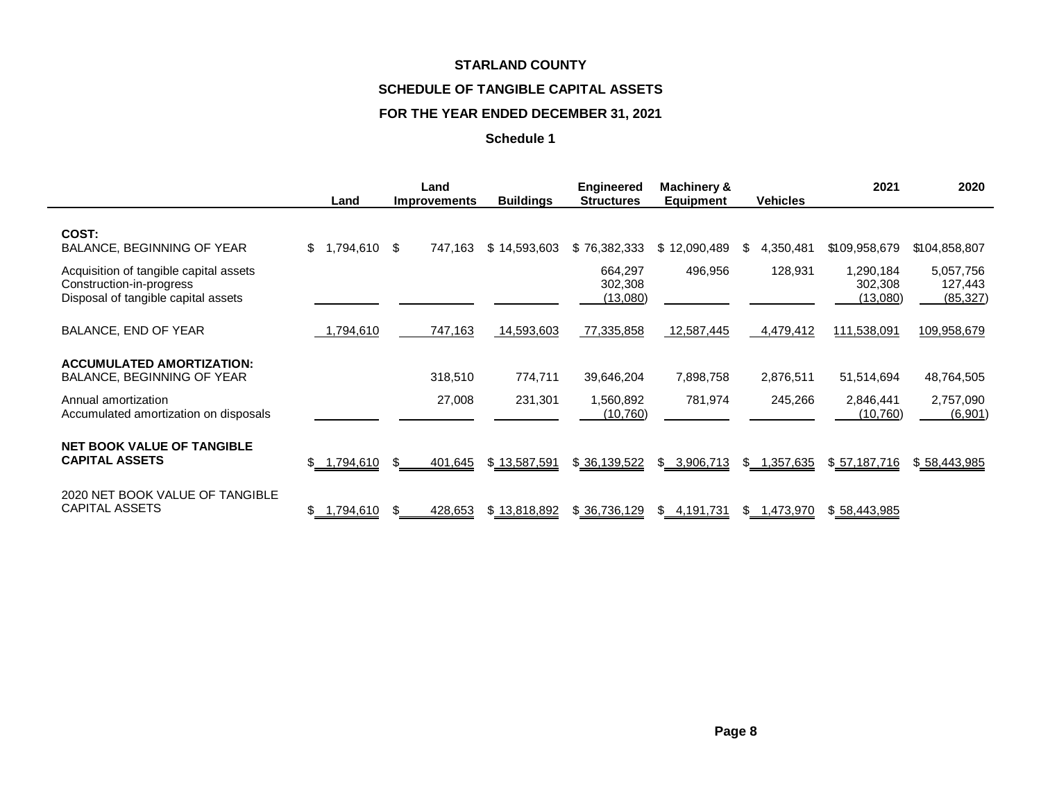# **SCHEDULE OF TANGIBLE CAPITAL ASSETS**

# **FOR THE YEAR ENDED DECEMBER 31, 2021**

|                                                                                                           | Land            | Land<br><b>Improvements</b> | <b>Buildings</b> | Engineered<br><b>Structures</b>       | <b>Machinery &amp;</b><br><b>Equipment</b> | <b>Vehicles</b> | 2021                             | 2020                              |
|-----------------------------------------------------------------------------------------------------------|-----------------|-----------------------------|------------------|---------------------------------------|--------------------------------------------|-----------------|----------------------------------|-----------------------------------|
| COST:<br>BALANCE, BEGINNING OF YEAR                                                                       | \$<br>1,794,610 | - \$<br>747,163             | \$14,593,603     | \$76,382,333                          | \$12,090,489                               | \$<br>4,350,481 | \$109,958,679                    | \$104,858,807                     |
| Acquisition of tangible capital assets<br>Construction-in-progress<br>Disposal of tangible capital assets |                 |                             |                  | 664,297<br>302,308<br><u>(13,080)</u> | 496,956                                    | 128,931         | 1,290,184<br>302,308<br>(13,080) | 5,057,756<br>127,443<br>(85, 327) |
| BALANCE, END OF YEAR                                                                                      | ,794,610        | 747,163                     | 14,593,603       | 77,335,858                            | 12,587,445                                 | 4,479,412       | 111,538,091                      | 109,958,679                       |
| <b>ACCUMULATED AMORTIZATION:</b><br>BALANCE, BEGINNING OF YEAR                                            |                 | 318,510                     | 774,711          | 39,646,204                            | 7,898,758                                  | 2,876,511       | 51,514,694                       | 48,764,505                        |
| Annual amortization<br>Accumulated amortization on disposals                                              |                 | 27,008                      | 231,301          | 1,560,892<br>(10, 760)                | 781,974                                    | 245,266         | 2,846,441<br>(10, 760)           | 2,757,090<br>(6,901)              |
| <b>NET BOOK VALUE OF TANGIBLE</b><br><b>CAPITAL ASSETS</b>                                                | \$ 1,794,610    | 401,645<br>\$               | \$13,587,591     | \$ 36,139,522                         | \$ 3,906,713                               | \$ 1,357,635    | \$57,187,716                     | \$58,443,985                      |
| 2020 NET BOOK VALUE OF TANGIBLE<br><b>CAPITAL ASSETS</b>                                                  | ,794,610        | 428,653                     | \$13,818,892     | \$36,736,129                          | \$<br>4,191,731                            | \$1,473,970     | \$58,443,985                     |                                   |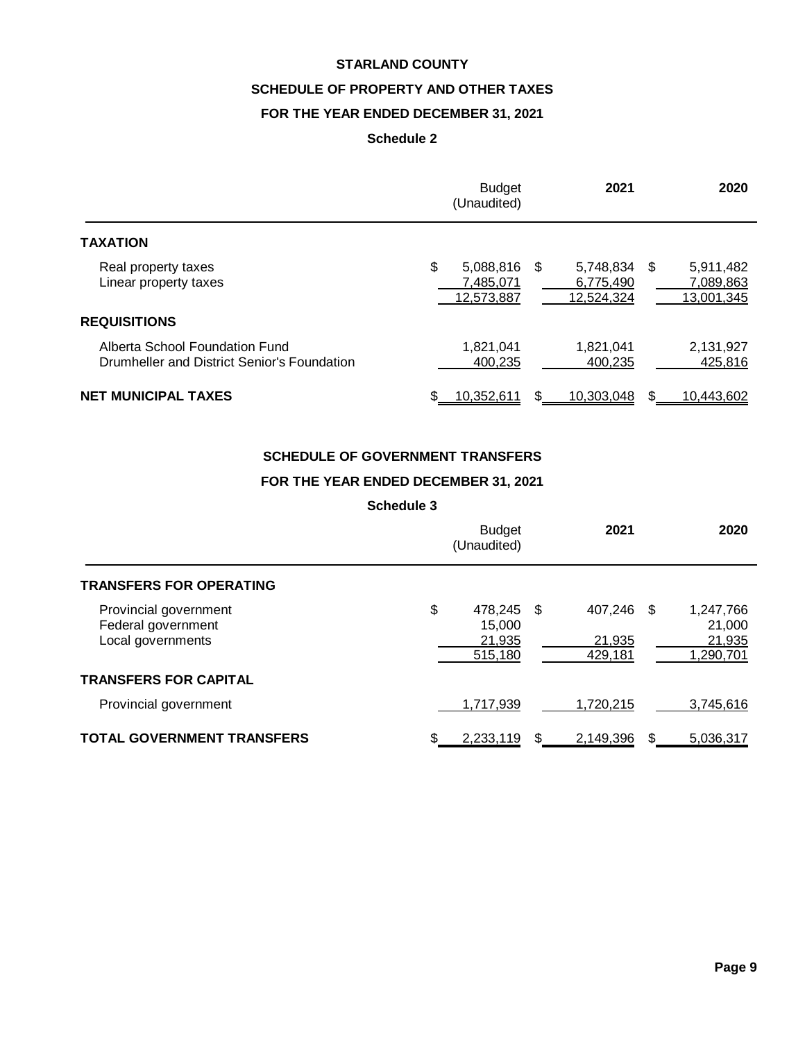# **SCHEDULE OF PROPERTY AND OTHER TAXES**

# **FOR THE YEAR ENDED DECEMBER 31, 2021**

# **Schedule 2**

|                                                                               | <b>Budget</b><br>(Unaudited)               | 2021                                            | 2020                                 |
|-------------------------------------------------------------------------------|--------------------------------------------|-------------------------------------------------|--------------------------------------|
| <b>TAXATION</b>                                                               |                                            |                                                 |                                      |
| Real property taxes<br>Linear property taxes                                  | \$<br>5,088,816<br>7,485,071<br>12,573,887 | 5,748,834 \$<br>- \$<br>6,775,490<br>12,524,324 | 5,911,482<br>7,089,863<br>13,001,345 |
| <b>REQUISITIONS</b>                                                           |                                            |                                                 |                                      |
| Alberta School Foundation Fund<br>Drumheller and District Senior's Foundation | 1,821,041<br>400.235                       | 1,821,041<br>400.235                            | 2,131,927<br>425,816                 |
| <b>NET MUNICIPAL TAXES</b>                                                    | 10,352,611                                 | 10,303,048<br>S                                 | 10,443,602                           |

# **SCHEDULE OF GOVERNMENT TRANSFERS**

# **FOR THE YEAR ENDED DECEMBER 31, 2021**

|                                                                  | <b>Budget</b><br>(Unaudited)                    |   | 2021                            | 2020                                       |
|------------------------------------------------------------------|-------------------------------------------------|---|---------------------------------|--------------------------------------------|
| <b>TRANSFERS FOR OPERATING</b>                                   |                                                 |   |                                 |                                            |
| Provincial government<br>Federal government<br>Local governments | \$<br>478,245 \$<br>15,000<br>21,935<br>515,180 |   | 407,246 \$<br>21,935<br>429,181 | 1,247,766<br>21,000<br>21,935<br>1,290,701 |
| <b>TRANSFERS FOR CAPITAL</b>                                     |                                                 |   |                                 |                                            |
| Provincial government                                            | 1,717,939                                       |   | 1,720,215                       | 3,745,616                                  |
| <b>TOTAL GOVERNMENT TRANSFERS</b>                                | 2,233,119                                       | S | 2,149,396                       | 5.036.317                                  |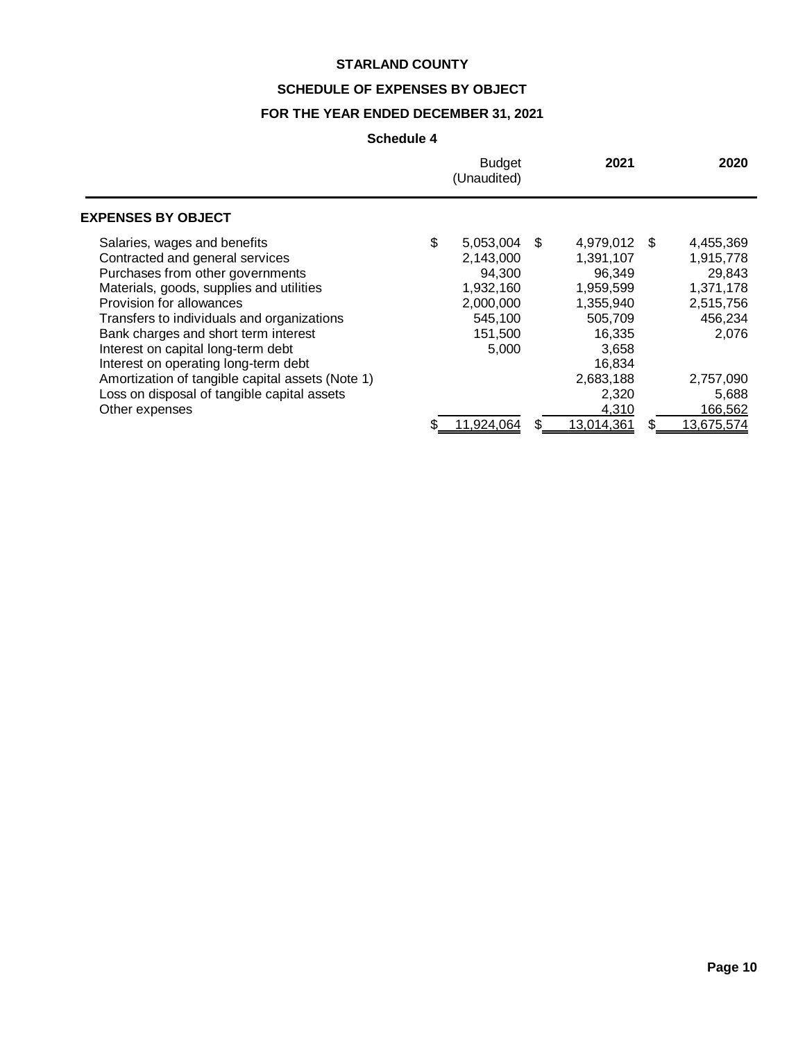# **SCHEDULE OF EXPENSES BY OBJECT**

# **FOR THE YEAR ENDED DECEMBER 31, 2021**

|                                                                                                                                                                                                                                                                                                                                                                                                     | <b>Budget</b><br>(Unaudited)                                                                    |      | 2021                                                                                                            |     | 2020                                                                                        |
|-----------------------------------------------------------------------------------------------------------------------------------------------------------------------------------------------------------------------------------------------------------------------------------------------------------------------------------------------------------------------------------------------------|-------------------------------------------------------------------------------------------------|------|-----------------------------------------------------------------------------------------------------------------|-----|---------------------------------------------------------------------------------------------|
| <b>EXPENSES BY OBJECT</b>                                                                                                                                                                                                                                                                                                                                                                           |                                                                                                 |      |                                                                                                                 |     |                                                                                             |
| Salaries, wages and benefits<br>Contracted and general services<br>Purchases from other governments<br>Materials, goods, supplies and utilities<br>Provision for allowances<br>Transfers to individuals and organizations<br>Bank charges and short term interest<br>Interest on capital long-term debt<br>Interest on operating long-term debt<br>Amortization of tangible capital assets (Note 1) | \$<br>5,053,004<br>2,143,000<br>94.300<br>1,932,160<br>2,000,000<br>545,100<br>151,500<br>5,000 | - \$ | 4,979,012<br>1,391,107<br>96.349<br>1,959,599<br>1,355,940<br>505,709<br>16,335<br>3,658<br>16.834<br>2,683,188 | \$. | 4,455,369<br>1,915,778<br>29.843<br>1,371,178<br>2,515,756<br>456,234<br>2,076<br>2,757,090 |
| Loss on disposal of tangible capital assets<br>Other expenses                                                                                                                                                                                                                                                                                                                                       | 11,924,064                                                                                      |      | 2,320<br>4,310<br>13,014,361                                                                                    | \$  | 5,688<br>166,562<br>13,675,574                                                              |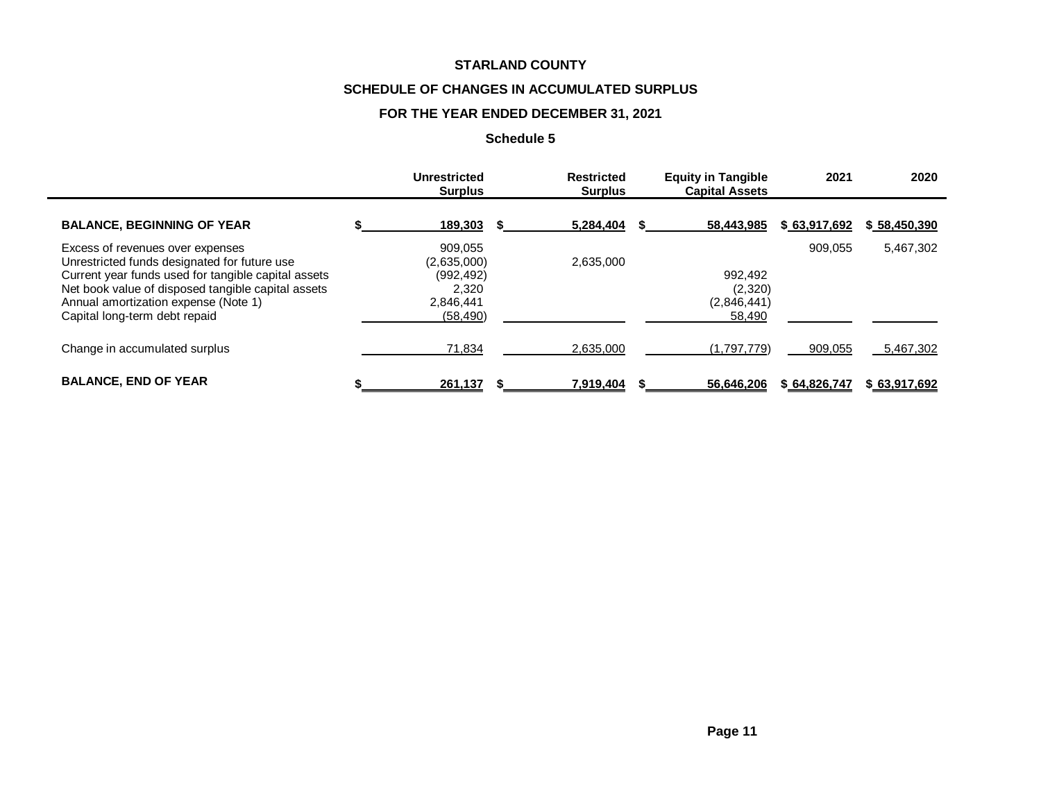# **SCHEDULE OF CHANGES IN ACCUMULATED SURPLUS**

# **FOR THE YEAR ENDED DECEMBER 31, 2021**

|                                                                                                                                                                                                                                                                        | Unrestricted<br><b>Surplus</b>                                          | <b>Restricted</b><br><b>Surplus</b> | <b>Equity in Tangible</b><br><b>Capital Assets</b> | 2021         | 2020         |
|------------------------------------------------------------------------------------------------------------------------------------------------------------------------------------------------------------------------------------------------------------------------|-------------------------------------------------------------------------|-------------------------------------|----------------------------------------------------|--------------|--------------|
| <b>BALANCE, BEGINNING OF YEAR</b>                                                                                                                                                                                                                                      | 189,303                                                                 | 5,284,404                           | 58,443,985                                         | \$63,917,692 | \$58,450,390 |
| Excess of revenues over expenses<br>Unrestricted funds designated for future use<br>Current year funds used for tangible capital assets<br>Net book value of disposed tangible capital assets<br>Annual amortization expense (Note 1)<br>Capital long-term debt repaid | 909.055<br>(2,635,000)<br>(992, 492)<br>2,320<br>2,846,441<br>(58, 490) | 2,635,000                           | 992.492<br>(2,320)<br>(2,846,441)<br>58,490        | 909.055      | 5,467,302    |
| Change in accumulated surplus                                                                                                                                                                                                                                          | 71,834                                                                  | 2,635,000                           | (1,797,779)                                        | 909,055      | 5,467,302    |
| <b>BALANCE, END OF YEAR</b>                                                                                                                                                                                                                                            | 261,137                                                                 | 7,919,404                           | 56,646,206                                         | \$64,826,747 | \$63,917,692 |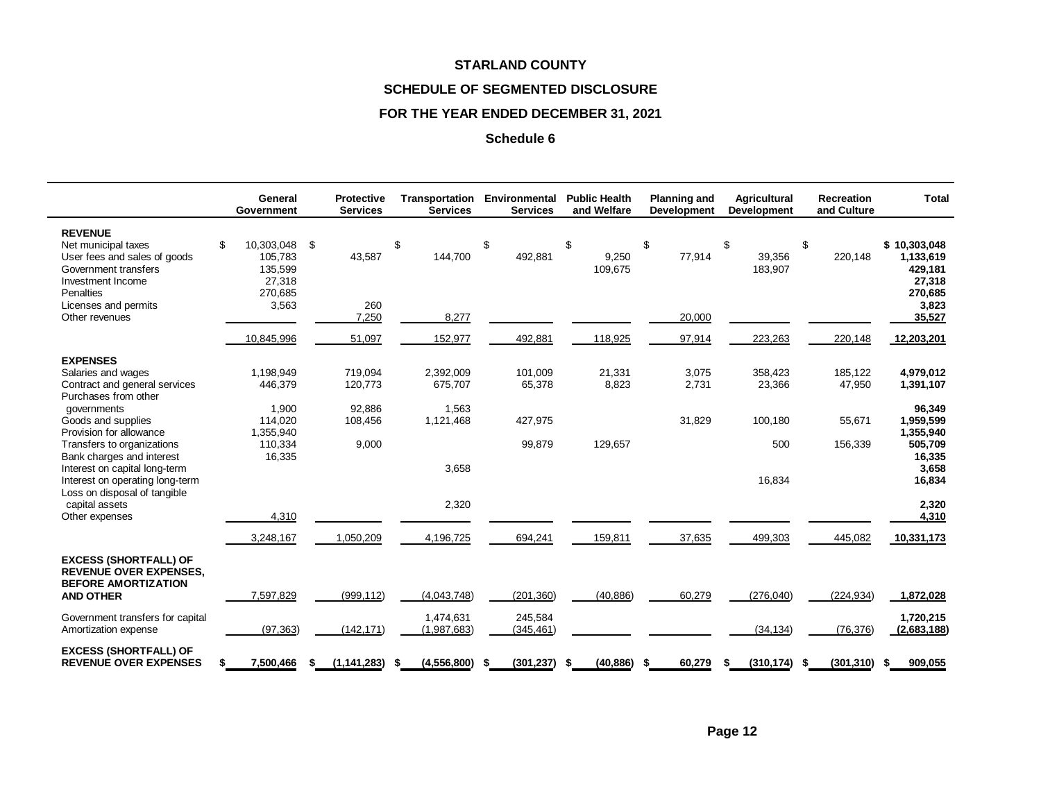# **SCHEDULE OF SEGMENTED DISCLOSURE**

# **FOR THE YEAR ENDED DECEMBER 31, 2021**

|                                                                                                                                                                           | General<br>Government                                                   |   | <b>Protective</b><br><b>Services</b> | Transportation<br><b>Services</b> |    | Environmental<br><b>Services</b> |      | <b>Public Health</b><br>and Welfare | <b>Planning and</b><br><b>Development</b> | <b>Agricultural</b><br><b>Development</b> | <b>Recreation</b><br>and Culture | <b>Total</b>                                                                 |
|---------------------------------------------------------------------------------------------------------------------------------------------------------------------------|-------------------------------------------------------------------------|---|--------------------------------------|-----------------------------------|----|----------------------------------|------|-------------------------------------|-------------------------------------------|-------------------------------------------|----------------------------------|------------------------------------------------------------------------------|
| <b>REVENUE</b><br>Net municipal taxes<br>User fees and sales of goods<br>Government transfers<br>Investment Income<br>Penalties<br>Licenses and permits<br>Other revenues | \$<br>10,303,048 \$<br>105,783<br>135,599<br>27,318<br>270,685<br>3,563 |   | 43,587<br>260<br>7,250               | \$<br>144,700<br>8,277            | \$ | 492,881                          | \$   | 9,250<br>109,675                    | \$<br>77,914<br>20,000                    | \$<br>39,356<br>183,907                   | \$<br>220,148                    | \$10,303,048<br>1,133,619<br>429,181<br>27,318<br>270,685<br>3,823<br>35,527 |
|                                                                                                                                                                           | 10,845,996                                                              |   | 51,097                               | 152,977                           |    | 492,881                          |      | 118,925                             | 97,914                                    | 223,263                                   | 220,148                          | 12,203,201                                                                   |
| <b>EXPENSES</b>                                                                                                                                                           |                                                                         |   |                                      |                                   |    |                                  |      |                                     |                                           |                                           |                                  |                                                                              |
| Salaries and wages<br>Contract and general services<br>Purchases from other                                                                                               | 1,198,949<br>446,379                                                    |   | 719.094<br>120,773                   | 2,392,009<br>675,707              |    | 101,009<br>65,378                |      | 21,331<br>8,823                     | 3,075<br>2,731                            | 358,423<br>23,366                         | 185,122<br>47,950                | 4,979,012<br>1,391,107                                                       |
| governments<br>Goods and supplies<br>Provision for allowance                                                                                                              | 1,900<br>114.020<br>1,355,940                                           |   | 92,886<br>108,456                    | 1,563<br>1,121,468                |    | 427,975                          |      |                                     | 31,829                                    | 100.180                                   | 55,671                           | 96,349<br>1,959,599<br>1,355,940                                             |
| Transfers to organizations<br>Bank charges and interest<br>Interest on capital long-term                                                                                  | 110,334<br>16,335                                                       |   | 9,000                                | 3,658                             |    | 99,879                           |      | 129,657                             |                                           | 500                                       | 156,339                          | 505,709<br>16,335<br>3,658                                                   |
| Interest on operating long-term<br>Loss on disposal of tangible                                                                                                           |                                                                         |   |                                      |                                   |    |                                  |      |                                     |                                           | 16,834                                    |                                  | 16,834                                                                       |
| capital assets<br>Other expenses                                                                                                                                          | 4,310                                                                   |   |                                      | 2,320                             |    |                                  |      |                                     |                                           |                                           |                                  | 2,320<br>4,310                                                               |
|                                                                                                                                                                           | 3,248,167                                                               |   | 1,050,209                            | 4,196,725                         |    | 694,241                          |      | 159,811                             | 37,635                                    | 499,303                                   | 445,082                          | 10,331,173                                                                   |
| <b>EXCESS (SHORTFALL) OF</b><br><b>REVENUE OVER EXPENSES,</b><br><b>BEFORE AMORTIZATION</b>                                                                               |                                                                         |   |                                      |                                   |    |                                  |      |                                     |                                           |                                           |                                  |                                                                              |
| <b>AND OTHER</b>                                                                                                                                                          | 7,597,829                                                               |   | (999, 112)                           | (4,043,748)                       |    | (201, 360)                       |      | (40, 886)                           | 60,279                                    | (276,040)                                 | (224, 934)                       | 1,872,028                                                                    |
| Government transfers for capital<br>Amortization expense                                                                                                                  | (97, 363)                                                               |   | (142, 171)                           | 1,474,631<br>(1,987,683)          |    | 245,584<br>(345, 461)            |      |                                     |                                           | (34, 134)                                 | (76, 376)                        | 1,720,215<br>(2,683,188)                                                     |
| <b>EXCESS (SHORTFALL) OF</b><br><b>REVENUE OVER EXPENSES</b>                                                                                                              | 7,500,466<br>\$                                                         | S | (1, 141, 283)                        | (4,556,800)<br>\$                 | S  | (301, 237)                       | - \$ | (40, 886)                           | \$<br>60,279                              | (310, 174)<br>\$                          | \$<br>(301, 310)                 | 909,055<br>\$                                                                |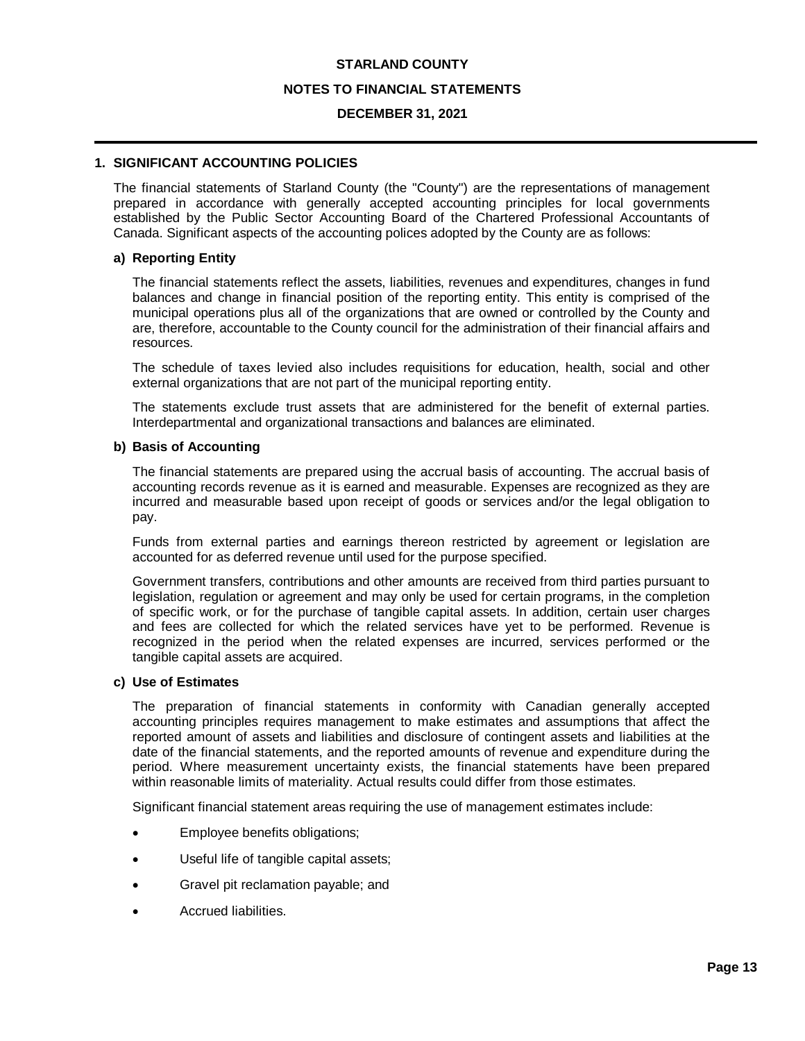#### **NOTES TO FINANCIAL STATEMENTS**

#### **DECEMBER 31, 2021**

# **1. SIGNIFICANT ACCOUNTING POLICIES**

The financial statements of Starland County (the "County") are the representations of management prepared in accordance with generally accepted accounting principles for local governments established by the Public Sector Accounting Board of the Chartered Professional Accountants of Canada. Significant aspects of the accounting polices adopted by the County are as follows:

#### **a) Reporting Entity**

The financial statements reflect the assets, liabilities, revenues and expenditures, changes in fund balances and change in financial position of the reporting entity. This entity is comprised of the municipal operations plus all of the organizations that are owned or controlled by the County and are, therefore, accountable to the County council for the administration of their financial affairs and resources.

The schedule of taxes levied also includes requisitions for education, health, social and other external organizations that are not part of the municipal reporting entity.

The statements exclude trust assets that are administered for the benefit of external parties. Interdepartmental and organizational transactions and balances are eliminated.

#### **b) Basis of Accounting**

The financial statements are prepared using the accrual basis of accounting. The accrual basis of accounting records revenue as it is earned and measurable. Expenses are recognized as they are incurred and measurable based upon receipt of goods or services and/or the legal obligation to pay.

Funds from external parties and earnings thereon restricted by agreement or legislation are accounted for as deferred revenue until used for the purpose specified.

Government transfers, contributions and other amounts are received from third parties pursuant to legislation, regulation or agreement and may only be used for certain programs, in the completion of specific work, or for the purchase of tangible capital assets. In addition, certain user charges and fees are collected for which the related services have yet to be performed. Revenue is recognized in the period when the related expenses are incurred, services performed or the tangible capital assets are acquired.

#### **c) Use of Estimates**

The preparation of financial statements in conformity with Canadian generally accepted accounting principles requires management to make estimates and assumptions that affect the reported amount of assets and liabilities and disclosure of contingent assets and liabilities at the date of the financial statements, and the reported amounts of revenue and expenditure during the period. Where measurement uncertainty exists, the financial statements have been prepared within reasonable limits of materiality. Actual results could differ from those estimates.

Significant financial statement areas requiring the use of management estimates include:

- Employee benefits obligations;
- Useful life of tangible capital assets;
- Gravel pit reclamation payable; and
- · Accrued liabilities.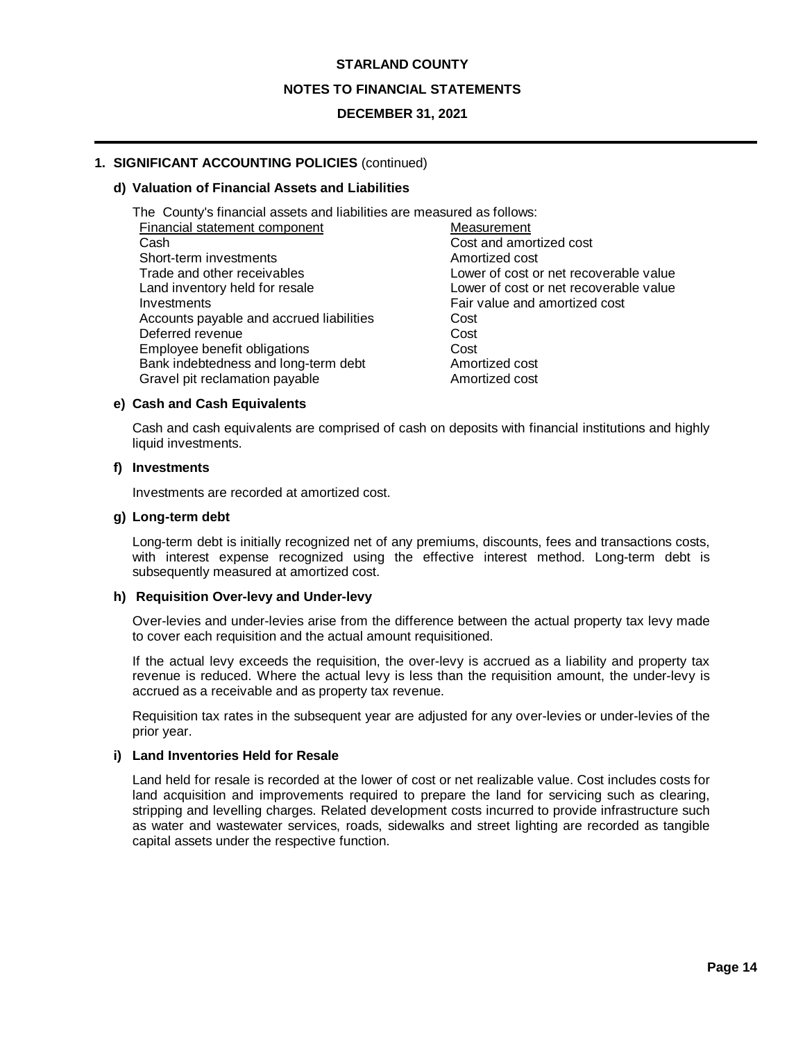#### **NOTES TO FINANCIAL STATEMENTS**

## **DECEMBER 31, 2021**

# **1. SIGNIFICANT ACCOUNTING POLICIES** (continued)

#### **d) Valuation of Financial Assets and Liabilities**

| The County's financial assets and liabilities are measured as follows: |                                        |
|------------------------------------------------------------------------|----------------------------------------|
| Financial statement component                                          | Measurement                            |
| Cash                                                                   | Cost and amortized cost                |
| Short-term investments                                                 | Amortized cost                         |
| Trade and other receivables                                            | Lower of cost or net recoverable value |
| Land inventory held for resale                                         | Lower of cost or net recoverable value |
| Investments                                                            | Fair value and amortized cost          |
| Accounts payable and accrued liabilities                               | Cost                                   |
| Deferred revenue                                                       | Cost                                   |
| Employee benefit obligations                                           | Cost                                   |
| Bank indebtedness and long-term debt                                   | Amortized cost                         |
| Gravel pit reclamation payable                                         | Amortized cost                         |

#### **e) Cash and Cash Equivalents**

Cash and cash equivalents are comprised of cash on deposits with financial institutions and highly liquid investments.

#### **f) Investments**

Investments are recorded at amortized cost.

#### **g) Long-term debt**

Long-term debt is initially recognized net of any premiums, discounts, fees and transactions costs, with interest expense recognized using the effective interest method. Long-term debt is subsequently measured at amortized cost.

#### **h) Requisition Over-levy and Under-levy**

Over-levies and under-levies arise from the difference between the actual property tax levy made to cover each requisition and the actual amount requisitioned.

If the actual levy exceeds the requisition, the over-levy is accrued as a liability and property tax revenue is reduced. Where the actual levy is less than the requisition amount, the under-levy is accrued as a receivable and as property tax revenue.

Requisition tax rates in the subsequent year are adjusted for any over-levies or under-levies of the prior year.

#### **i) Land Inventories Held for Resale**

Land held for resale is recorded at the lower of cost or net realizable value. Cost includes costs for land acquisition and improvements required to prepare the land for servicing such as clearing, stripping and levelling charges. Related development costs incurred to provide infrastructure such as water and wastewater services, roads, sidewalks and street lighting are recorded as tangible capital assets under the respective function.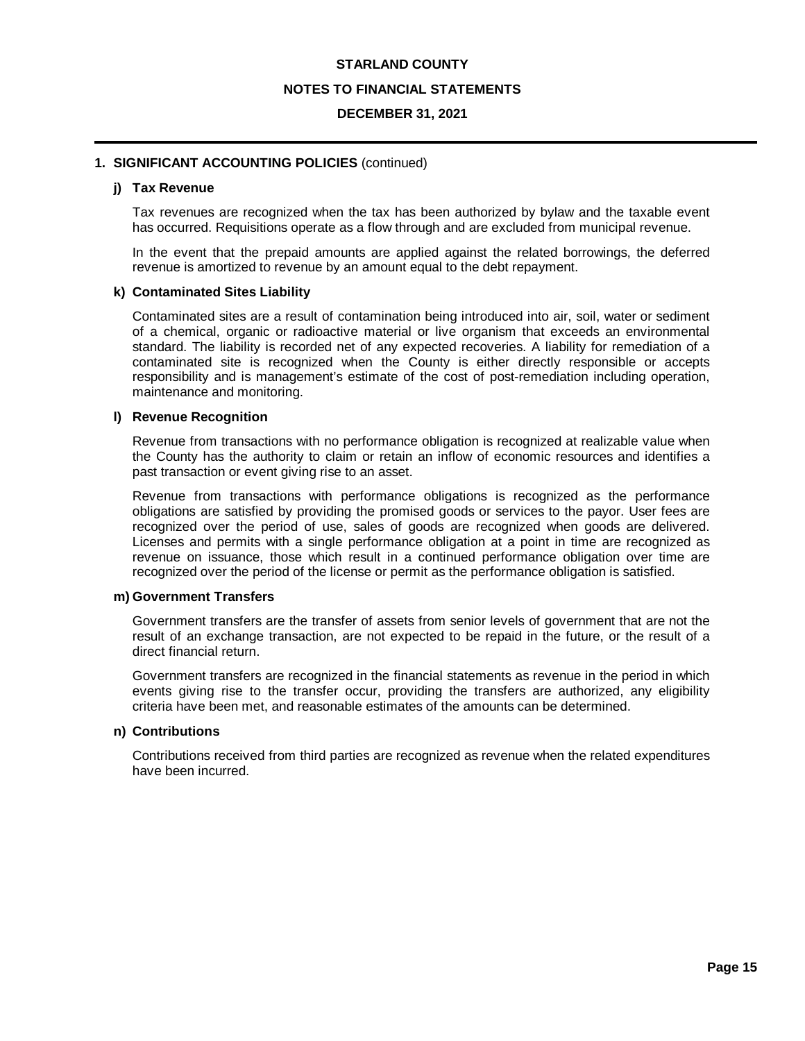#### **NOTES TO FINANCIAL STATEMENTS**

#### **DECEMBER 31, 2021**

#### **1. SIGNIFICANT ACCOUNTING POLICIES** (continued)

### **j) Tax Revenue**

Tax revenues are recognized when the tax has been authorized by bylaw and the taxable event has occurred. Requisitions operate as a flow through and are excluded from municipal revenue.

In the event that the prepaid amounts are applied against the related borrowings, the deferred revenue is amortized to revenue by an amount equal to the debt repayment.

#### **k) Contaminated Sites Liability**

Contaminated sites are a result of contamination being introduced into air, soil, water or sediment of a chemical, organic or radioactive material or live organism that exceeds an environmental standard. The liability is recorded net of any expected recoveries. A liability for remediation of a contaminated site is recognized when the County is either directly responsible or accepts responsibility and is management's estimate of the cost of post-remediation including operation, maintenance and monitoring.

#### **l) Revenue Recognition**

Revenue from transactions with no performance obligation is recognized at realizable value when the County has the authority to claim or retain an inflow of economic resources and identifies a past transaction or event giving rise to an asset.

Revenue from transactions with performance obligations is recognized as the performance obligations are satisfied by providing the promised goods or services to the payor. User fees are recognized over the period of use, sales of goods are recognized when goods are delivered. Licenses and permits with a single performance obligation at a point in time are recognized as revenue on issuance, those which result in a continued performance obligation over time are recognized over the period of the license or permit as the performance obligation is satisfied.

#### **m) Government Transfers**

Government transfers are the transfer of assets from senior levels of government that are not the result of an exchange transaction, are not expected to be repaid in the future, or the result of a direct financial return.

Government transfers are recognized in the financial statements as revenue in the period in which events giving rise to the transfer occur, providing the transfers are authorized, any eligibility criteria have been met, and reasonable estimates of the amounts can be determined.

#### **n) Contributions**

Contributions received from third parties are recognized as revenue when the related expenditures have been incurred.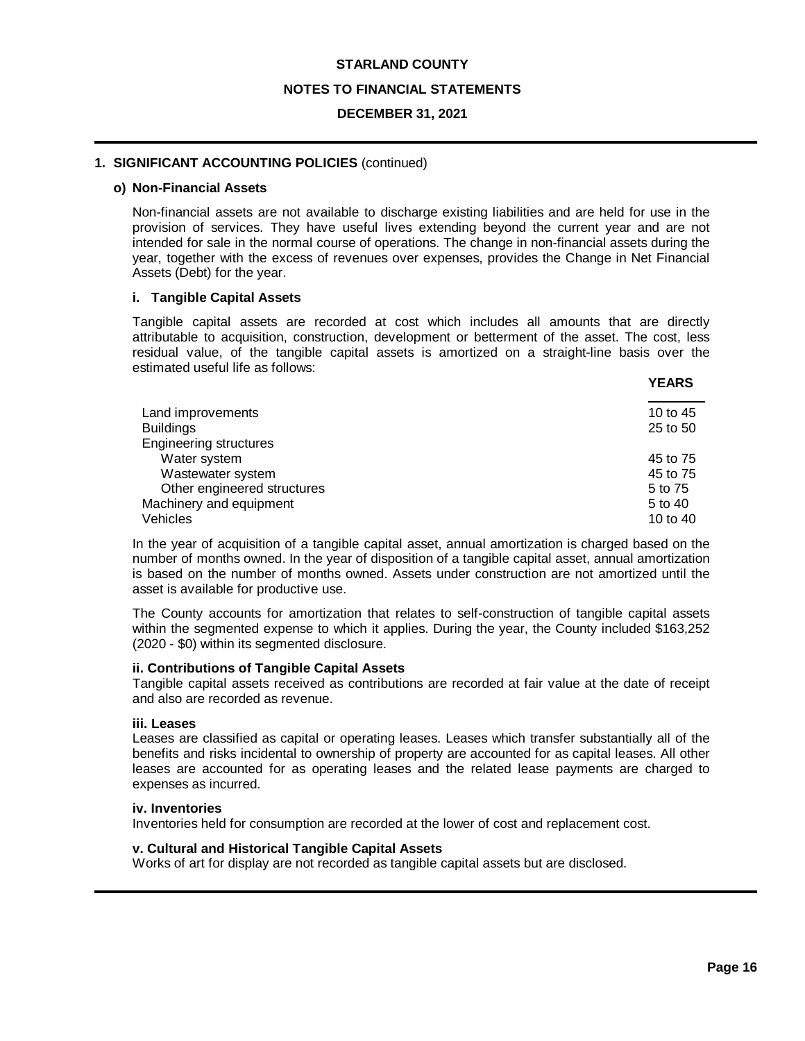#### **NOTES TO FINANCIAL STATEMENTS**

### **DECEMBER 31, 2021**

## **1. SIGNIFICANT ACCOUNTING POLICIES** (continued)

#### **o) Non-Financial Assets**

Non-financial assets are not available to discharge existing liabilities and are held for use in the provision of services. They have useful lives extending beyond the current year and are not intended for sale in the normal course of operations. The change in non-financial assets during the year, together with the excess of revenues over expenses, provides the Change in Net Financial Assets (Debt) for the year.

## **i. Tangible Capital Assets**

Tangible capital assets are recorded at cost which includes all amounts that are directly attributable to acquisition, construction, development or betterment of the asset. The cost, less residual value, of the tangible capital assets is amortized on a straight-line basis over the estimated useful life as follows:

| Land improvements             | 10 to 45 |
|-------------------------------|----------|
| <b>Buildings</b>              | 25 to 50 |
| <b>Engineering structures</b> |          |
| Water system                  | 45 to 75 |
| Wastewater system             | 45 to 75 |
| Other engineered structures   | 5 to 75  |
| Machinery and equipment       | 5 to 40  |
| Vehicles                      | 10 to 40 |

In the year of acquisition of a tangible capital asset, annual amortization is charged based on the number of months owned. In the year of disposition of a tangible capital asset, annual amortization is based on the number of months owned. Assets under construction are not amortized until the asset is available for productive use.

The County accounts for amortization that relates to self-construction of tangible capital assets within the segmented expense to which it applies. During the year, the County included \$163,252 (2020 - \$0) within its segmented disclosure.

## **ii. Contributions of Tangible Capital Assets**

Tangible capital assets received as contributions are recorded at fair value at the date of receipt and also are recorded as revenue.

#### **iii. Leases**

Leases are classified as capital or operating leases. Leases which transfer substantially all of the benefits and risks incidental to ownership of property are accounted for as capital leases. All other leases are accounted for as operating leases and the related lease payments are charged to expenses as incurred.

#### **iv. Inventories**

Inventories held for consumption are recorded at the lower of cost and replacement cost.

## **v. Cultural and Historical Tangible Capital Assets**

Works of art for display are not recorded as tangible capital assets but are disclosed.

**YEARS**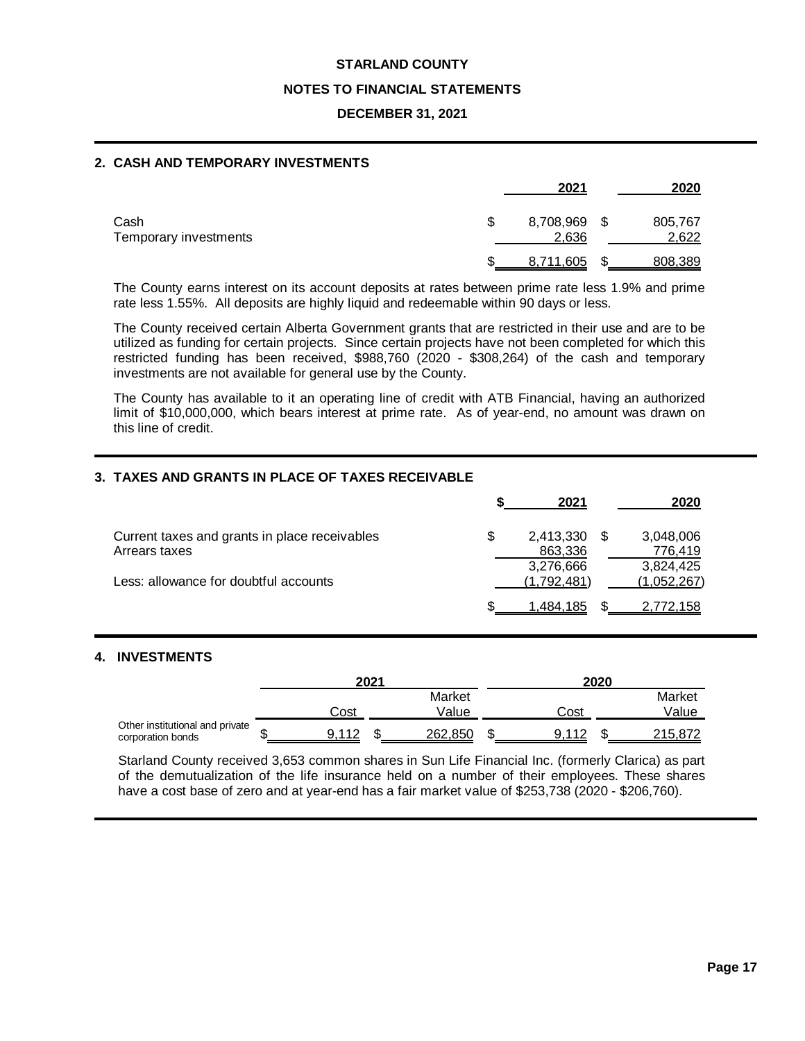#### **NOTES TO FINANCIAL STATEMENTS**

## **DECEMBER 31, 2021**

## **2. CASH AND TEMPORARY INVESTMENTS**

|                               | 2021                     |      | 2020             |
|-------------------------------|--------------------------|------|------------------|
| Cash<br>Temporary investments | \$<br>8,708,969<br>2,636 | - \$ | 805,767<br>2,622 |
|                               | 8,711,605                |      | 808,389          |

The County earns interest on its account deposits at rates between prime rate less 1.9% and prime rate less 1.55%. All deposits are highly liquid and redeemable within 90 days or less.

The County received certain Alberta Government grants that are restricted in their use and are to be utilized as funding for certain projects. Since certain projects have not been completed for which this restricted funding has been received, \$988,760 (2020 - \$308,264) of the cash and temporary investments are not available for general use by the County.

The County has available to it an operating line of credit with ATB Financial, having an authorized limit of \$10,000,000, which bears interest at prime rate. As of year-end, no amount was drawn on this line of credit.

## **3. TAXES AND GRANTS IN PLACE OF TAXES RECEIVABLE**

|                                               | 2021        | 2020        |
|-----------------------------------------------|-------------|-------------|
| Current taxes and grants in place receivables | 2,413,330   | 3,048,006   |
| Arrears taxes                                 | 863,336     | 776,419     |
|                                               | 3,276,666   | 3,824,425   |
| Less: allowance for doubtful accounts         | (1,792,481) | (1,052,267) |
|                                               | l.484.185   | 2,772,158   |

# **4. INVESTMENTS**

|                                                      |   | 2021 |  | 2020    |      |         |
|------------------------------------------------------|---|------|--|---------|------|---------|
|                                                      |   |      |  | Market  |      | Market  |
|                                                      |   | Cost |  | Value   | Cost | Value   |
| Other institutional and private<br>corporation bonds | w |      |  | 262,850 |      | 215.872 |

Starland County received 3,653 common shares in Sun Life Financial Inc. (formerly Clarica) as part of the demutualization of the life insurance held on a number of their employees. These shares have a cost base of zero and at year-end has a fair market value of \$253,738 (2020 - \$206,760).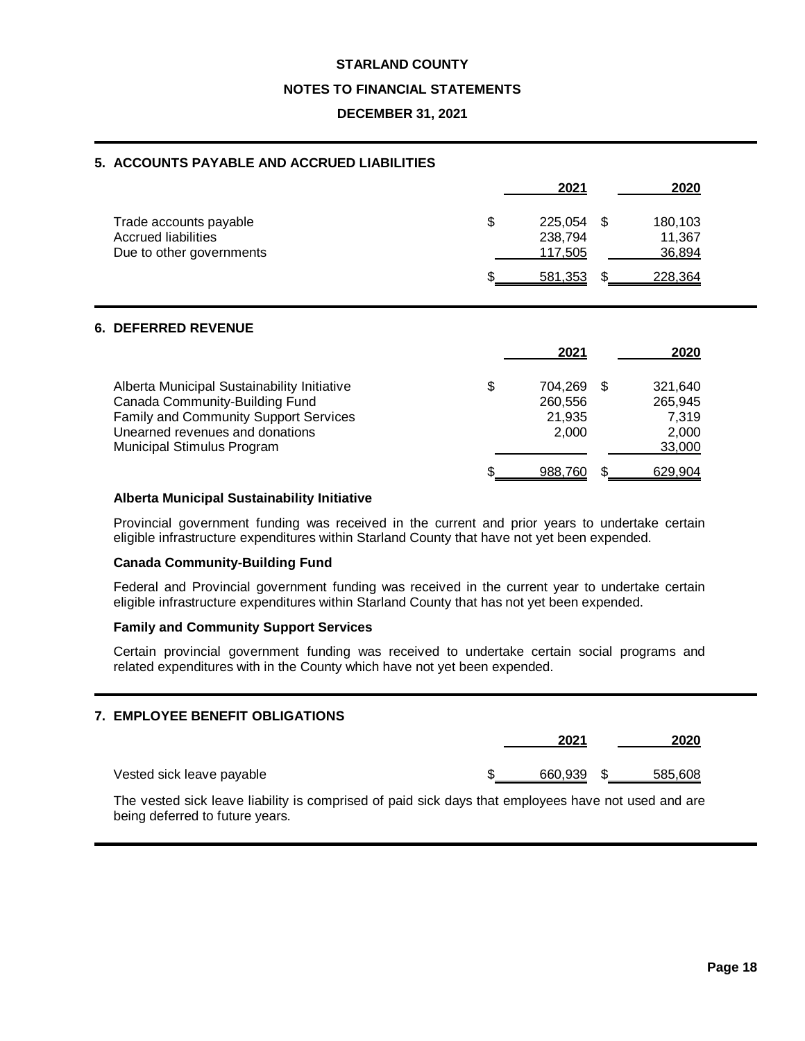#### **NOTES TO FINANCIAL STATEMENTS**

## **DECEMBER 31, 2021**

### **5. ACCOUNTS PAYABLE AND ACCRUED LIABILITIES**

|                                                                                  | 2021                                | 2020                        |  |
|----------------------------------------------------------------------------------|-------------------------------------|-----------------------------|--|
| Trade accounts payable<br><b>Accrued liabilities</b><br>Due to other governments | \$<br>225,054<br>238,794<br>117,505 | 180,103<br>11,367<br>36,894 |  |
|                                                                                  | 581,353                             | 228.364                     |  |

### **6. DEFERRED REVENUE**

|                                                                                                                                                                                                       | 2021                                        |     | 2020                                           |
|-------------------------------------------------------------------------------------------------------------------------------------------------------------------------------------------------------|---------------------------------------------|-----|------------------------------------------------|
| Alberta Municipal Sustainability Initiative<br>Canada Community-Building Fund<br><b>Family and Community Support Services</b><br>Unearned revenues and donations<br><b>Municipal Stimulus Program</b> | \$<br>704.269<br>260,556<br>21.935<br>2,000 | -SS | 321.640<br>265,945<br>7.319<br>2,000<br>33,000 |
|                                                                                                                                                                                                       | 988.760                                     |     | 629,904                                        |

# **Alberta Municipal Sustainability Initiative**

Provincial government funding was received in the current and prior years to undertake certain eligible infrastructure expenditures within Starland County that have not yet been expended.

#### **Canada Community-Building Fund**

Federal and Provincial government funding was received in the current year to undertake certain eligible infrastructure expenditures within Starland County that has not yet been expended.

#### **Family and Community Support Services**

Certain provincial government funding was received to undertake certain social programs and related expenditures with in the County which have not yet been expended.

# **7. EMPLOYEE BENEFIT OBLIGATIONS**

|                           | 2021    |  |         |
|---------------------------|---------|--|---------|
| Vested sick leave payable | 660.939 |  | 585.608 |

The vested sick leave liability is comprised of paid sick days that employees have not used and are being deferred to future years.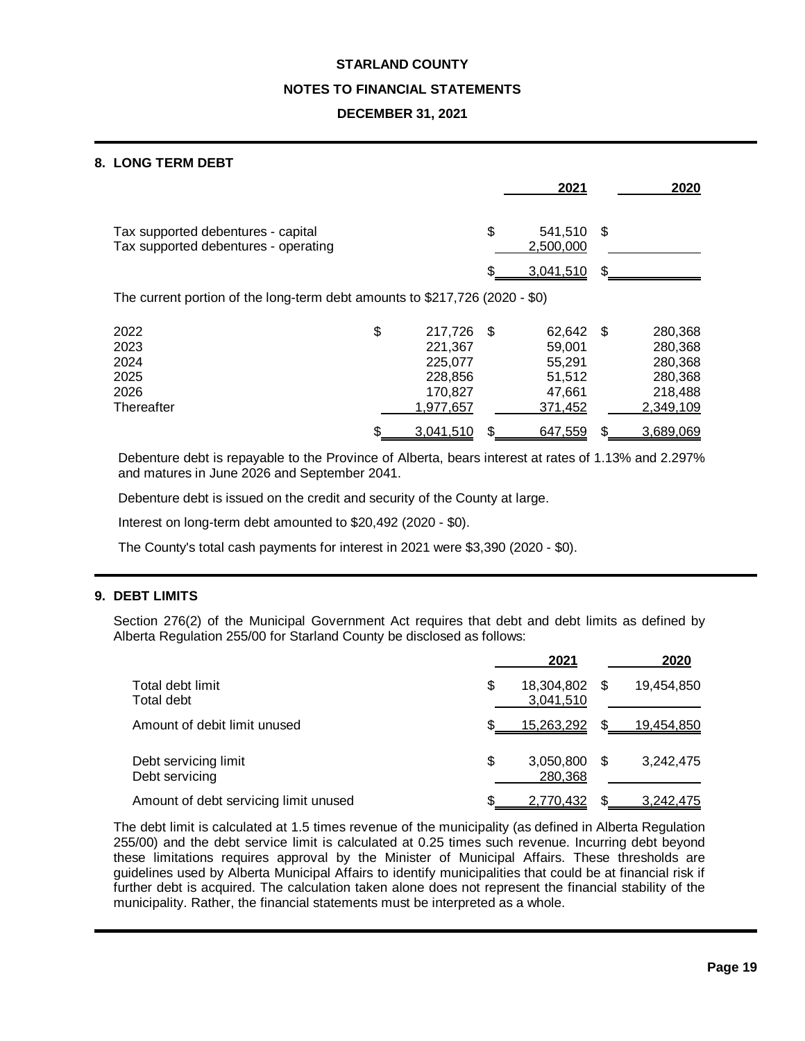#### **NOTES TO FINANCIAL STATEMENTS**

## **DECEMBER 31, 2021**

## **8. LONG TERM DEBT**

|                                                                             |               |      | 2021                 |      | 2020      |
|-----------------------------------------------------------------------------|---------------|------|----------------------|------|-----------|
| Tax supported debentures - capital<br>Tax supported debentures - operating  |               | \$   | 541.510<br>2,500,000 | \$   |           |
|                                                                             |               |      | 3,041,510            | \$   |           |
| The current portion of the long-term debt amounts to \$217,726 (2020 - \$0) |               |      |                      |      |           |
| 2022                                                                        | \$<br>217,726 | - \$ | 62,642               | - \$ | 280,368   |
| 2023                                                                        | 221,367       |      | 59,001               |      | 280,368   |
| 2024                                                                        | 225.077       |      | 55.291               |      | 280,368   |
| 2025                                                                        | 228,856       |      | 51,512               |      | 280,368   |
| 2026                                                                        | 170,827       |      | 47.661               |      | 218,488   |
| Thereafter                                                                  | 1,977,657     |      | 371,452              |      | 2,349,109 |
|                                                                             | 3,041,510     |      | 647,559              | \$   | 3,689,069 |

Debenture debt is repayable to the Province of Alberta, bears interest at rates of 1.13% and 2.297% and matures in June 2026 and September 2041.

Debenture debt is issued on the credit and security of the County at large.

Interest on long-term debt amounted to \$20,492 (2020 - \$0).

The County's total cash payments for interest in 2021 were \$3,390 (2020 - \$0).

## **9. DEBT LIMITS**

Section 276(2) of the Municipal Government Act requires that debt and debt limits as defined by Alberta Regulation 255/00 for Starland County be disclosed as follows:

|                                        | 2021                          |      | 2020       |
|----------------------------------------|-------------------------------|------|------------|
| Total debt limit<br>Total debt         | \$<br>18,304,802<br>3,041,510 | -SS  | 19,454,850 |
| Amount of debit limit unused           | 15,263,292                    | \$.  | 19,454,850 |
| Debt servicing limit<br>Debt servicing | \$<br>3,050,800<br>280.368    | - \$ | 3.242.475  |
| Amount of debt servicing limit unused  | 2,770,432                     |      | 3,242,475  |

The debt limit is calculated at 1.5 times revenue of the municipality (as defined in Alberta Regulation 255/00) and the debt service limit is calculated at 0.25 times such revenue. Incurring debt beyond these limitations requires approval by the Minister of Municipal Affairs. These thresholds are guidelines used by Alberta Municipal Affairs to identify municipalities that could be at financial risk if further debt is acquired. The calculation taken alone does not represent the financial stability of the municipality. Rather, the financial statements must be interpreted as a whole.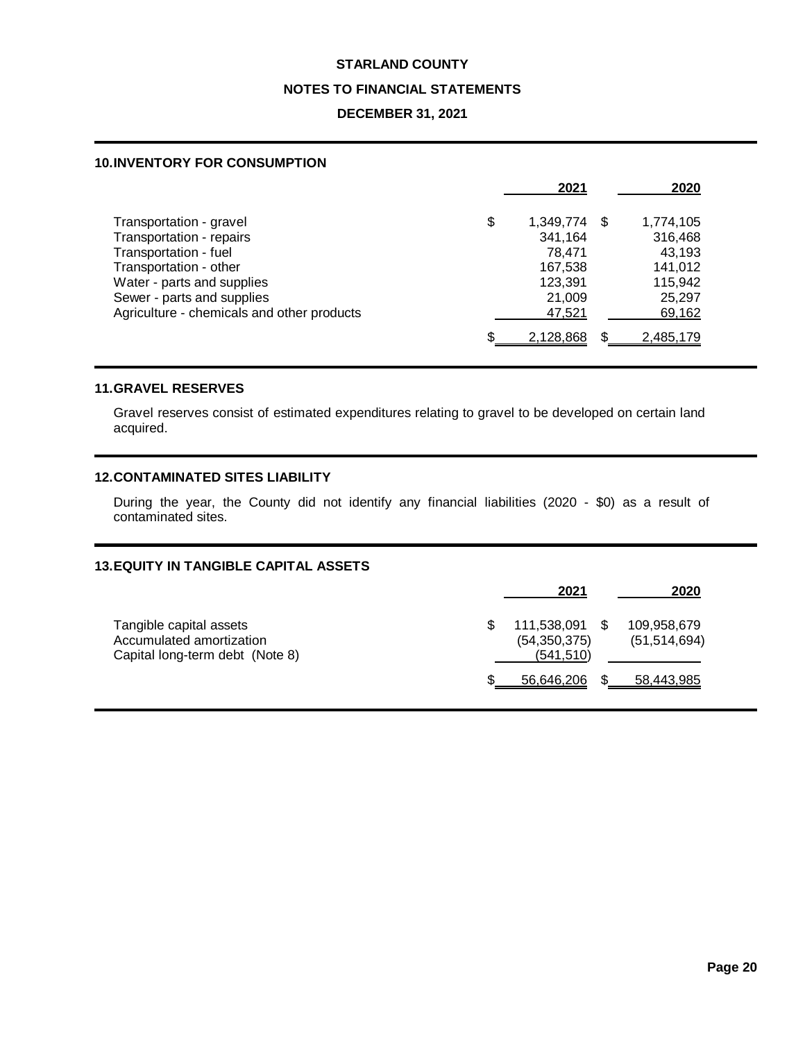#### **NOTES TO FINANCIAL STATEMENTS**

### **DECEMBER 31, 2021**

#### **10.INVENTORY FOR CONSUMPTION**

|                                            | 2021            |      | 2020      |
|--------------------------------------------|-----------------|------|-----------|
| Transportation - gravel                    | \$<br>1,349,774 | - \$ | 1,774,105 |
| Transportation - repairs                   | 341,164         |      | 316,468   |
| Transportation - fuel                      | 78.471          |      | 43,193    |
| Transportation - other                     | 167,538         |      | 141,012   |
| Water - parts and supplies                 | 123,391         |      | 115,942   |
| Sewer - parts and supplies                 | 21,009          |      | 25,297    |
| Agriculture - chemicals and other products | 47,521          |      | 69,162    |
|                                            | 2,128,868       |      | 2,485,179 |

#### **11.GRAVEL RESERVES**

Gravel reserves consist of estimated expenditures relating to gravel to be developed on certain land acquired.

# **12.CONTAMINATED SITES LIABILITY**

During the year, the County did not identify any financial liabilities (2020 - \$0) as a result of contaminated sites.

#### **13.EQUITY IN TANGIBLE CAPITAL ASSETS**

|                                                                                        | 2021                                           | 2020                          |
|----------------------------------------------------------------------------------------|------------------------------------------------|-------------------------------|
| Tangible capital assets<br>Accumulated amortization<br>Capital long-term debt (Note 8) | 111,538,091 \$<br>(54, 350, 375)<br>(541, 510) | 109,958,679<br>(51, 514, 694) |
|                                                                                        | 56,646,206                                     | 58,443,985                    |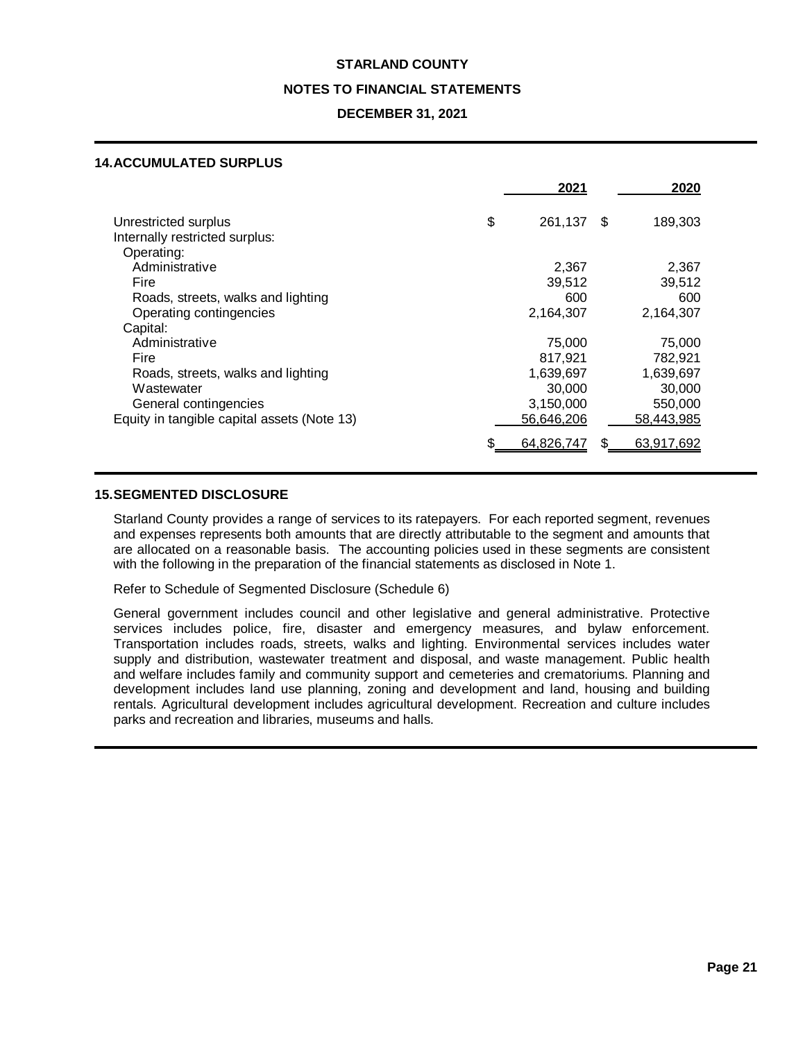#### **NOTES TO FINANCIAL STATEMENTS**

#### **DECEMBER 31, 2021**

#### **14.ACCUMULATED SURPLUS**

|                                                                                    | 2021                              | 2020                            |
|------------------------------------------------------------------------------------|-----------------------------------|---------------------------------|
| Unrestricted surplus<br>Internally restricted surplus:                             | \$<br>261,137                     | \$<br>189,303                   |
| Operating:<br>Administrative<br>Fire<br>Roads, streets, walks and lighting         | 2,367<br>39,512<br>600            | 2,367<br>39,512<br>600          |
| Operating contingencies<br>Capital:<br>Administrative                              | 2,164,307                         | 2,164,307                       |
| Fire<br>Roads, streets, walks and lighting                                         | 75,000<br>817,921<br>1,639,697    | 75,000<br>782,921<br>1,639,697  |
| Wastewater<br>General contingencies<br>Equity in tangible capital assets (Note 13) | 30,000<br>3,150,000<br>56,646,206 | 30,000<br>550,000<br>58,443,985 |
|                                                                                    | 64,826,747                        | 63,917,692                      |

#### **15.SEGMENTED DISCLOSURE**

Starland County provides a range of services to its ratepayers. For each reported segment, revenues and expenses represents both amounts that are directly attributable to the segment and amounts that are allocated on a reasonable basis. The accounting policies used in these segments are consistent with the following in the preparation of the financial statements as disclosed in Note 1.

Refer to Schedule of Segmented Disclosure (Schedule 6)

General government includes council and other legislative and general administrative. Protective services includes police, fire, disaster and emergency measures, and bylaw enforcement. Transportation includes roads, streets, walks and lighting. Environmental services includes water supply and distribution, wastewater treatment and disposal, and waste management. Public health and welfare includes family and community support and cemeteries and crematoriums. Planning and development includes land use planning, zoning and development and land, housing and building rentals. Agricultural development includes agricultural development. Recreation and culture includes parks and recreation and libraries, museums and halls.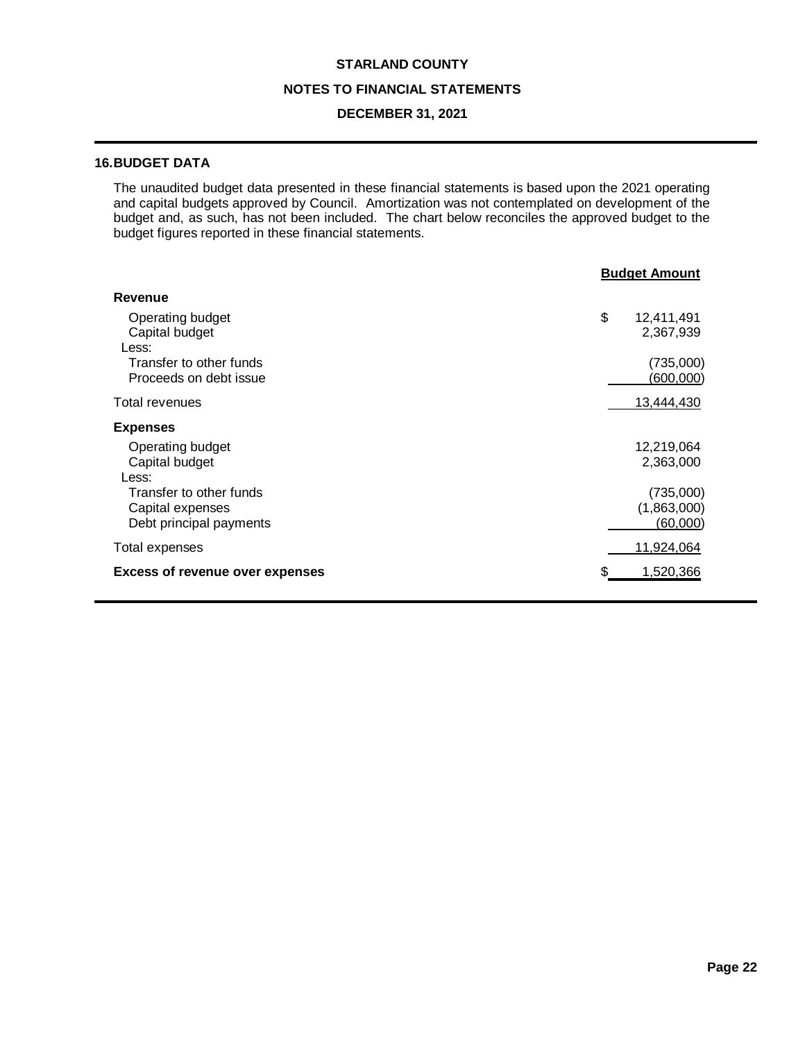# **NOTES TO FINANCIAL STATEMENTS**

## **DECEMBER 31, 2021**

# **16.BUDGET DATA**

The unaudited budget data presented in these financial statements is based upon the 2021 operating and capital budgets approved by Council. Amortization was not contemplated on development of the budget and, as such, has not been included. The chart below reconciles the approved budget to the budget figures reported in these financial statements.

|                                                                        | <b>Budget Amount</b> |                                             |  |
|------------------------------------------------------------------------|----------------------|---------------------------------------------|--|
| <b>Revenue</b>                                                         |                      |                                             |  |
| Operating budget<br>Capital budget<br>Less:                            | \$                   | 12,411,491<br>2,367,939                     |  |
| Transfer to other funds<br>Proceeds on debt issue                      |                      | (735,000)<br>(600,000)                      |  |
| Total revenues                                                         |                      | 13,444,430                                  |  |
| <b>Expenses</b>                                                        |                      |                                             |  |
| Operating budget<br>Capital budget<br>Less:                            |                      | 12,219,064<br>2,363,000                     |  |
| Transfer to other funds<br>Capital expenses<br>Debt principal payments |                      | (735,000)<br>(1,863,000)<br><u>(60,000)</u> |  |
| Total expenses                                                         |                      | 11,924,064                                  |  |
| <b>Excess of revenue over expenses</b>                                 |                      | 1,520,366                                   |  |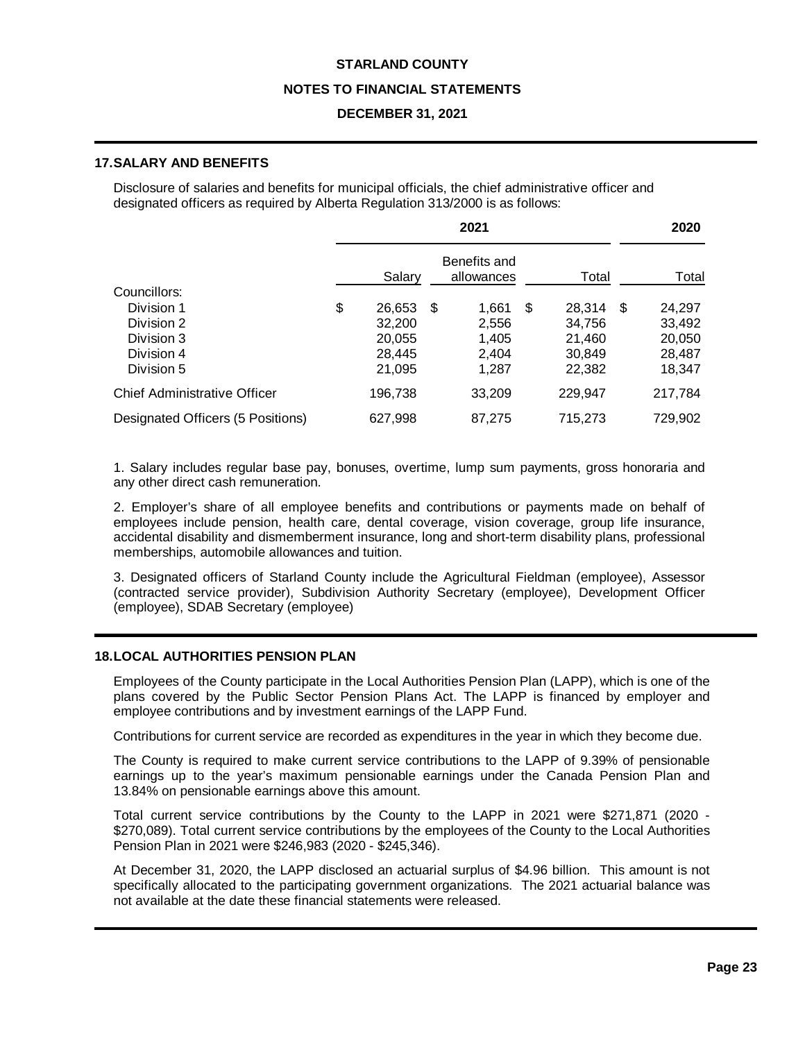#### **NOTES TO FINANCIAL STATEMENTS**

### **DECEMBER 31, 2021**

## **17.SALARY AND BENEFITS**

Disclosure of salaries and benefits for municipal officials, the chief administrative officer and designated officers as required by Alberta Regulation 313/2000 is as follows:

|                                   | 2021 |         |      |                            |   | 2020      |         |
|-----------------------------------|------|---------|------|----------------------------|---|-----------|---------|
|                                   |      | Salary  |      | Benefits and<br>allowances |   | Total     | Total   |
| Councillors:                      |      |         |      |                            |   |           |         |
| Division 1                        | \$   | 26,653  | - \$ | 1,661                      | S | 28,314 \$ | 24,297  |
| Division 2                        |      | 32,200  |      | 2,556                      |   | 34,756    | 33,492  |
| Division 3                        |      | 20,055  |      | 1,405                      |   | 21,460    | 20,050  |
| Division 4                        |      | 28,445  |      | 2,404                      |   | 30,849    | 28,487  |
| Division 5                        |      | 21,095  |      | 1,287                      |   | 22,382    | 18,347  |
| Chief Administrative Officer      |      | 196,738 |      | 33,209                     |   | 229,947   | 217,784 |
| Designated Officers (5 Positions) |      | 627,998 |      | 87.275                     |   | 715,273   | 729,902 |

1. Salary includes regular base pay, bonuses, overtime, lump sum payments, gross honoraria and any other direct cash remuneration.

2. Employer's share of all employee benefits and contributions or payments made on behalf of employees include pension, health care, dental coverage, vision coverage, group life insurance, accidental disability and dismemberment insurance, long and short-term disability plans, professional memberships, automobile allowances and tuition.

3. Designated officers of Starland County include the Agricultural Fieldman (employee), Assessor (contracted service provider), Subdivision Authority Secretary (employee), Development Officer (employee), SDAB Secretary (employee)

#### **18.LOCAL AUTHORITIES PENSION PLAN**

Employees of the County participate in the Local Authorities Pension Plan (LAPP), which is one of the plans covered by the Public Sector Pension Plans Act. The LAPP is financed by employer and employee contributions and by investment earnings of the LAPP Fund.

Contributions for current service are recorded as expenditures in the year in which they become due.

The County is required to make current service contributions to the LAPP of 9.39% of pensionable earnings up to the year's maximum pensionable earnings under the Canada Pension Plan and 13.84% on pensionable earnings above this amount.

Total current service contributions by the County to the LAPP in 2021 were \$271,871 (2020 - \$270,089). Total current service contributions by the employees of the County to the Local Authorities Pension Plan in 2021 were \$246,983 (2020 - \$245,346).

At December 31, 2020, the LAPP disclosed an actuarial surplus of \$4.96 billion. This amount is not specifically allocated to the participating government organizations. The 2021 actuarial balance was not available at the date these financial statements were released.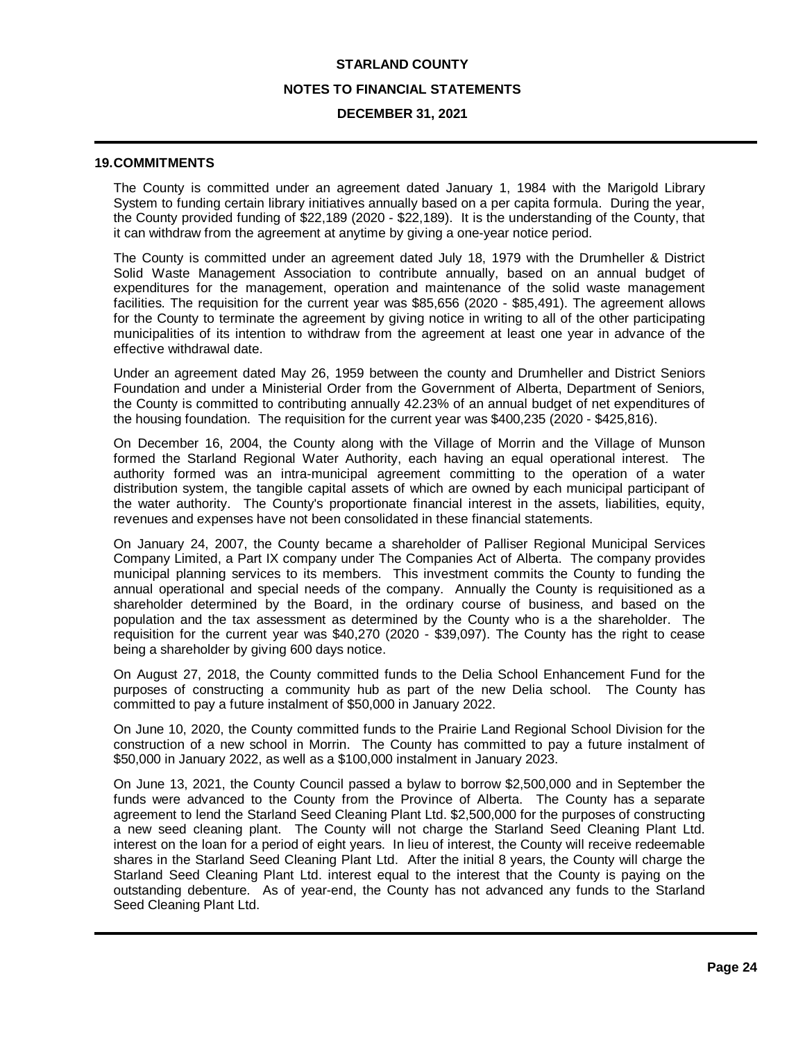#### **NOTES TO FINANCIAL STATEMENTS**

#### **DECEMBER 31, 2021**

#### **19.COMMITMENTS**

The County is committed under an agreement dated January 1, 1984 with the Marigold Library System to funding certain library initiatives annually based on a per capita formula. During the year, the County provided funding of \$22,189 (2020 - \$22,189). It is the understanding of the County, that it can withdraw from the agreement at anytime by giving a one-year notice period.

The County is committed under an agreement dated July 18, 1979 with the Drumheller & District Solid Waste Management Association to contribute annually, based on an annual budget of expenditures for the management, operation and maintenance of the solid waste management facilities. The requisition for the current year was \$85,656 (2020 - \$85,491). The agreement allows for the County to terminate the agreement by giving notice in writing to all of the other participating municipalities of its intention to withdraw from the agreement at least one year in advance of the effective withdrawal date.

Under an agreement dated May 26, 1959 between the county and Drumheller and District Seniors Foundation and under a Ministerial Order from the Government of Alberta, Department of Seniors, the County is committed to contributing annually 42.23% of an annual budget of net expenditures of the housing foundation. The requisition for the current year was \$400,235 (2020 - \$425,816).

On December 16, 2004, the County along with the Village of Morrin and the Village of Munson formed the Starland Regional Water Authority, each having an equal operational interest. The authority formed was an intra-municipal agreement committing to the operation of a water distribution system, the tangible capital assets of which are owned by each municipal participant of the water authority. The County's proportionate financial interest in the assets, liabilities, equity, revenues and expenses have not been consolidated in these financial statements.

On January 24, 2007, the County became a shareholder of Palliser Regional Municipal Services Company Limited, a Part IX company under The Companies Act of Alberta. The company provides municipal planning services to its members. This investment commits the County to funding the annual operational and special needs of the company. Annually the County is requisitioned as a shareholder determined by the Board, in the ordinary course of business, and based on the population and the tax assessment as determined by the County who is a the shareholder. The requisition for the current year was \$40,270 (2020 - \$39,097). The County has the right to cease being a shareholder by giving 600 days notice.

On August 27, 2018, the County committed funds to the Delia School Enhancement Fund for the purposes of constructing a community hub as part of the new Delia school. The County has committed to pay a future instalment of \$50,000 in January 2022.

On June 10, 2020, the County committed funds to the Prairie Land Regional School Division for the construction of a new school in Morrin. The County has committed to pay a future instalment of \$50,000 in January 2022, as well as a \$100,000 instalment in January 2023.

On June 13, 2021, the County Council passed a bylaw to borrow \$2,500,000 and in September the funds were advanced to the County from the Province of Alberta. The County has a separate agreement to lend the Starland Seed Cleaning Plant Ltd. \$2,500,000 for the purposes of constructing a new seed cleaning plant. The County will not charge the Starland Seed Cleaning Plant Ltd. interest on the loan for a period of eight years. In lieu of interest, the County will receive redeemable shares in the Starland Seed Cleaning Plant Ltd. After the initial 8 years, the County will charge the Starland Seed Cleaning Plant Ltd. interest equal to the interest that the County is paying on the outstanding debenture. As of year-end, the County has not advanced any funds to the Starland Seed Cleaning Plant Ltd.